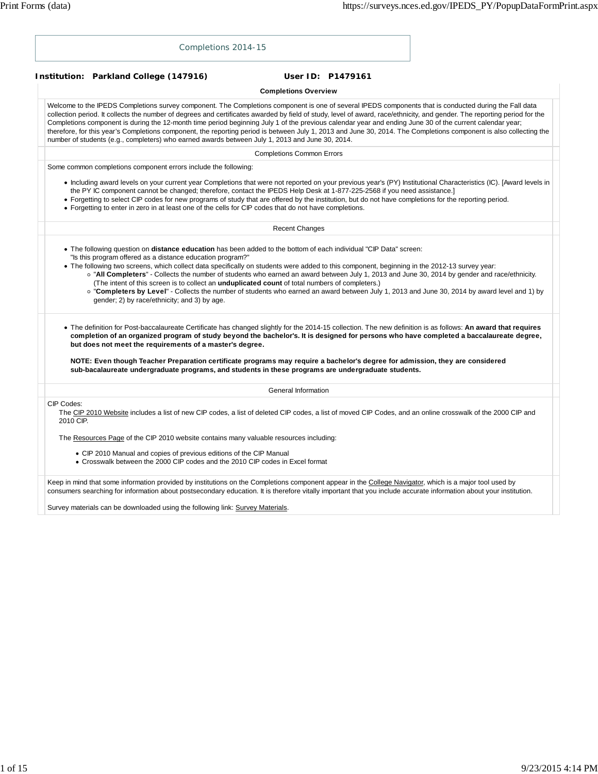| Completions 2014-15                                                                                                                                                                                                                                                                                                                                                                                                                                                                                                                                                                                                                                                                                                                                                                                |
|----------------------------------------------------------------------------------------------------------------------------------------------------------------------------------------------------------------------------------------------------------------------------------------------------------------------------------------------------------------------------------------------------------------------------------------------------------------------------------------------------------------------------------------------------------------------------------------------------------------------------------------------------------------------------------------------------------------------------------------------------------------------------------------------------|
| Institution: Parkland College (147916)<br>User ID: P1479161                                                                                                                                                                                                                                                                                                                                                                                                                                                                                                                                                                                                                                                                                                                                        |
| <b>Completions Overview</b>                                                                                                                                                                                                                                                                                                                                                                                                                                                                                                                                                                                                                                                                                                                                                                        |
| Welcome to the IPEDS Completions survey component. The Completions component is one of several IPEDS components that is conducted during the Fall data<br>collection period. It collects the number of degrees and certificates awarded by field of study, level of award, race/ethnicity, and gender. The reporting period for the<br>Completions component is during the 12-month time period beginning July 1 of the previous calendar year and ending June 30 of the current calendar year;<br>therefore, for this year's Completions component, the reporting period is between July 1, 2013 and June 30, 2014. The Completions component is also collecting the<br>number of students (e.g., completers) who earned awards between July 1, 2013 and June 30, 2014.                           |
| <b>Completions Common Errors</b>                                                                                                                                                                                                                                                                                                                                                                                                                                                                                                                                                                                                                                                                                                                                                                   |
| Some common completions component errors include the following:                                                                                                                                                                                                                                                                                                                                                                                                                                                                                                                                                                                                                                                                                                                                    |
| • Including award levels on your current year Completions that were not reported on your previous year's (PY) Institutional Characteristics (IC). [Award levels in<br>the PY IC component cannot be changed; therefore, contact the IPEDS Help Desk at 1-877-225-2568 if you need assistance.]<br>• Forgetting to select CIP codes for new programs of study that are offered by the institution, but do not have completions for the reporting period.<br>• Forgetting to enter in zero in at least one of the cells for CIP codes that do not have completions.                                                                                                                                                                                                                                  |
| <b>Recent Changes</b>                                                                                                                                                                                                                                                                                                                                                                                                                                                                                                                                                                                                                                                                                                                                                                              |
| • The following question on <b>distance education</b> has been added to the bottom of each individual "CIP Data" screen:<br>"Is this program offered as a distance education program?"<br>• The following two screens, which collect data specifically on students were added to this component, beginning in the 2012-13 survey year:<br>o "All Completers" - Collects the number of students who earned an award between July 1, 2013 and June 30, 2014 by gender and race/ethnicity.<br>(The intent of this screen is to collect an <i>unduplicated count</i> of total numbers of completers.)<br>o "Completers by Level" - Collects the number of students who earned an award between July 1, 2013 and June 30, 2014 by award level and 1) by<br>gender; 2) by race/ethnicity; and 3) by age. |
| • The definition for Post-baccalaureate Certificate has changed slightly for the 2014-15 collection. The new definition is as follows: An award that requires<br>completion of an organized program of study beyond the bachelor's. It is designed for persons who have completed a baccalaureate degree,<br>but does not meet the requirements of a master's degree.<br>NOTE: Even though Teacher Preparation certificate programs may require a bachelor's degree for admission, they are considered<br>sub-bacalaureate undergraduate programs, and students in these programs are undergraduate students.                                                                                                                                                                                      |
| General Information                                                                                                                                                                                                                                                                                                                                                                                                                                                                                                                                                                                                                                                                                                                                                                                |
| CIP Codes:<br>The CIP 2010 Website includes a list of new CIP codes, a list of deleted CIP codes, a list of moved CIP Codes, and an online crosswalk of the 2000 CIP and<br>2010 CIP.                                                                                                                                                                                                                                                                                                                                                                                                                                                                                                                                                                                                              |
| The Resources Page of the CIP 2010 website contains many valuable resources including:                                                                                                                                                                                                                                                                                                                                                                                                                                                                                                                                                                                                                                                                                                             |
| • CIP 2010 Manual and copies of previous editions of the CIP Manual<br>• Crosswalk between the 2000 CIP codes and the 2010 CIP codes in Excel format                                                                                                                                                                                                                                                                                                                                                                                                                                                                                                                                                                                                                                               |
| Keep in mind that some information provided by institutions on the Completions component appear in the College Navigator, which is a major tool used by<br>consumers searching for information about postsecondary education. It is therefore vitally important that you include accurate information about your institution.                                                                                                                                                                                                                                                                                                                                                                                                                                                                      |
| Survey materials can be downloaded using the following link: Survey Materials.                                                                                                                                                                                                                                                                                                                                                                                                                                                                                                                                                                                                                                                                                                                     |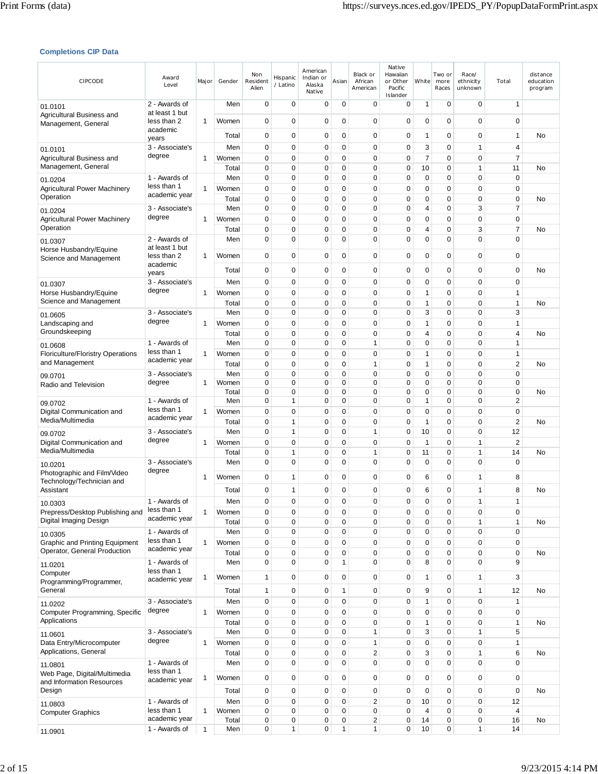### **Completions CIP Data**

| CIPCODE                                                               | Award<br>Level                  | Major        | Gender         | Non<br>Resident<br>Alien   | Hispanic<br>/ Latino | American<br>Indian or<br>Alaska<br>Native | Asian            | Black or<br>African<br>American | Native<br>Hawaiian<br>or Other<br>Pacific<br>Islander | White        | Two or<br>more<br>Races | Race/<br>ethnicity<br>unknown | Total                | distance<br>education<br>program |
|-----------------------------------------------------------------------|---------------------------------|--------------|----------------|----------------------------|----------------------|-------------------------------------------|------------------|---------------------------------|-------------------------------------------------------|--------------|-------------------------|-------------------------------|----------------------|----------------------------------|
| 01.0101                                                               | 2 - Awards of<br>at least 1 but |              | Men            | $\mathbf 0$                | 0                    | 0                                         | 0                | 0                               | 0                                                     | 1            | $\mathbf 0$             | 0                             | 1                    |                                  |
| Agricultural Business and<br>Management, General                      | less than 2<br>academic         | 1            | Women          | $\mathbf 0$                | $\mathbf 0$          | 0                                         | $\mathbf 0$      | 0                               | $\mathbf 0$                                           | $\mathbf 0$  | 0                       | $\mathbf 0$                   | 0                    |                                  |
|                                                                       | years                           |              | Total          | $\mathbf 0$                | 0                    | 0                                         | $\mathbf 0$      | 0                               | 0                                                     | 1            | 0                       | $\mathbf 0$                   | 1                    | No                               |
| 01.0101                                                               | 3 - Associate's<br>degree       |              | Men            | 0                          | 0                    | 0                                         | 0                | 0                               | 0                                                     | 3            | 0                       | $\mathbf{1}$                  | 4                    |                                  |
| Agricultural Business and<br>Management, General                      |                                 | 1            | Women<br>Total | $\mathbf 0$<br>$\mathbf 0$ | $\mathbf 0$<br>0     | 0<br>0                                    | $\mathbf 0$<br>0 | $\mathbf 0$<br>0                | $\mathbf 0$<br>0                                      | 7<br>10      | 0<br>0                  | $\mathbf 0$<br>$\mathbf{1}$   | $\overline{7}$<br>11 | No                               |
| 01.0204                                                               | 1 - Awards of                   |              | Men            | 0                          | 0                    | 0                                         | 0                | 0                               | 0                                                     | 0            | 0                       | $\mathbf 0$                   | 0                    |                                  |
| <b>Agricultural Power Machinery</b><br>Operation                      | less than 1<br>academic year    | 1            | Women          | 0                          | 0                    | 0                                         | 0                | 0                               | $\mathbf 0$                                           | 0            | $\mathbf 0$             | $\mathbf 0$                   | 0                    |                                  |
| 01.0204                                                               | 3 - Associate's                 |              | Total<br>Men   | $\mathbf 0$<br>$\mathbf 0$ | 0<br>0               | 0<br>$\mathbf 0$                          | $\mathbf 0$<br>0 | $\mathbf 0$<br>0                | 0<br>$\mathbf 0$                                      | 0<br>4       | 0<br>0                  | $\mathbf 0$<br>3              | 0<br>7               | No                               |
| <b>Agricultural Power Machinery</b>                                   | degree                          | 1            | Women          | $\mathbf 0$                | 0                    | 0                                         | $\mathbf 0$      | $\mathbf 0$                     | 0                                                     | 0            | 0                       | $\mathbf 0$                   | $\mathbf 0$          |                                  |
| Operation                                                             |                                 |              | Total          | $\mathbf 0$                | 0                    | 0                                         | $\mathbf 0$      | $\mathbf 0$                     | $\mathbf 0$                                           | 4            | 0                       | 3                             | 7                    | No                               |
| 01.0307<br>Horse Husbandry/Equine                                     | 2 - Awards of<br>at least 1 but |              | Men            | $\mathbf 0$                | $\mathbf 0$          | 0                                         | 0                | 0                               | $\mathbf 0$                                           | 0            | $\mathbf 0$             | $\mathbf 0$                   | $\mathbf 0$          |                                  |
| Science and Management                                                | less than 2<br>academic         | 1            | Women          | $\mathbf 0$                | 0                    | 0                                         | $\mathbf 0$      | 0                               | $\mathbf 0$                                           | 0            | $\mathbf 0$             | $\mathbf 0$                   | 0                    |                                  |
|                                                                       | years                           |              | Total          | $\mathbf 0$                | 0                    | 0                                         | 0                | 0                               | $\mathbf 0$                                           | 0            | 0                       | $\mathbf 0$                   | 0                    | No                               |
| 01.0307                                                               | 3 - Associate's<br>degree       |              | Men            | 0                          | 0                    | 0                                         | 0                | 0                               | 0                                                     | 0            | 0                       | 0                             | 0                    |                                  |
| Horse Husbandry/Equine<br>Science and Management                      |                                 | 1            | Women<br>Total | $\mathbf 0$<br>$\mathbf 0$ | 0<br>0               | 0<br>0                                    | $\mathbf 0$<br>0 | $\mathbf 0$<br>0                | 0<br>$\mathbf 0$                                      | 1<br>1       | 0<br>0                  | $\mathbf 0$<br>$\mathbf 0$    | 1<br>$\mathbf{1}$    | No                               |
| 01.0605                                                               | 3 - Associate's                 |              | Men            | $\mathbf 0$                | 0                    | 0                                         | 0                | 0                               | 0                                                     | 3            | 0                       | $\mathbf 0$                   | 3                    |                                  |
| Landscaping and                                                       | degree                          | 1            | Women          | $\mathbf 0$                | 0                    | 0                                         | $\mathbf 0$      | $\mathbf 0$                     | $\mathbf 0$                                           | 1            | 0                       | $\mathbf 0$                   | 1                    |                                  |
| Groundskeeping                                                        | 1 - Awards of                   |              | Total<br>Men   | $\mathbf 0$<br>$\mathbf 0$ | 0<br>0               | 0<br>0                                    | $\mathbf 0$<br>0 | $\mathbf 0$<br>1                | $\mathbf 0$<br>$\mathbf 0$                            | 4<br>0       | 0<br>0                  | $\mathbf 0$<br>$\mathbf 0$    | 4<br>1               | No                               |
| 01.0608<br><b>Floriculture/Floristry Operations</b>                   | less than 1                     | 1            | Women          | $\mathbf 0$                | 0                    | 0                                         | $\mathbf 0$      | 0                               | 0                                                     | 1            | 0                       | $\mathbf 0$                   | $\mathbf{1}$         |                                  |
| and Management                                                        | academic year                   |              | Total          | 0                          | 0                    | 0                                         | 0                | 1                               | $\mathbf 0$                                           | 1            | $\mathbf 0$             | $\mathbf 0$                   | 2                    | No                               |
| 09.0701                                                               | 3 - Associate's                 |              | Men            | $\mathbf 0$                | 0                    | 0                                         | $\mathbf 0$      | 0                               | $\mathbf 0$                                           | 0            | $\pmb{0}$               | $\mathbf 0$                   | 0                    |                                  |
| Radio and Television                                                  | degree                          | 1            | Women<br>Total | 0<br>0                     | 0<br>0               | 0<br>0                                    | 0<br>0           | 0<br>0                          | 0<br>0                                                | 0<br>0       | 0<br>0                  | $\mathbf 0$<br>$\mathbf 0$    | $\mathbf 0$<br>0     | No                               |
| 09.0702                                                               | 1 - Awards of                   |              | Men            | $\mathbf 0$                | $\mathbf{1}$         | $\mathbf 0$                               | $\mathbf 0$      | $\mathbf 0$                     | 0                                                     | $\mathbf{1}$ | 0                       | $\mathbf 0$                   | $\overline{2}$       |                                  |
| Digital Communication and<br>Media/Multimedia                         | less than 1<br>academic year    | 1            | Women          | 0                          | 0                    | 0                                         | 0                | 0                               | $\mathbf 0$                                           | 0            | 0                       | $\mathbf 0$                   | 0                    |                                  |
| 09.0702                                                               | 3 - Associate's                 |              | Total<br>Men   | $\mathbf 0$<br>$\mathbf 0$ | $\mathbf{1}$<br>1    | 0<br>0                                    | 0<br>0           | $\mathbf 0$<br>1                | 0<br>0                                                | 1<br>10      | 0<br>0                  | $\mathbf 0$<br>$\mathbf 0$    | $\overline{c}$<br>12 | No                               |
| Digital Communication and                                             | degree                          | 1            | Women          | $\mathbf 0$                | $\mathbf 0$          | 0                                         | $\mathbf 0$      | 0                               | $\mathbf 0$                                           | 1            | 0                       | 1                             | $\overline{2}$       |                                  |
| Media/Multimedia                                                      |                                 |              | Total          | 0                          | 1                    | 0                                         | 0                | 1                               | 0                                                     | 11           | 0                       | 1                             | 14                   | No                               |
| 10.0201<br>Photographic and Film/Video                                | 3 - Associate's<br>degree       |              | Men            | $\mathbf 0$                | 0                    | 0                                         | 0                | 0                               | 0                                                     | 0            | $\mathbf 0$             | $\mathbf 0$                   | 0                    |                                  |
| Technology/Technician and                                             |                                 | 1            | Women          | 0                          | 1                    | 0                                         | 0                | 0                               | 0                                                     | 6            | $\mathbf 0$             | 1                             | 8                    |                                  |
| Assistant                                                             |                                 |              | Total          | $\mathbf 0$                | 1                    | $\mathbf 0$                               | 0                | 0                               | $\mathbf 0$                                           | 6            | $\mathbf 0$             | 1                             | 8                    | No                               |
| 10.0303<br>Prepress/Desktop Publishing and                            | 1 - Awards of<br>less than 1    | 1            | Men<br>Women   | 0<br>0                     | 0<br>0               | 0<br>0                                    | 0<br>0           | 0<br>0                          | 0<br>0                                                | 0<br>0       | 0<br>0                  | 1<br>0                        | 1<br>0               |                                  |
| Digital Imaging Design                                                | academic year                   |              | Total          | 0                          | 0                    | 0                                         | 0                | 0                               | 0                                                     | 0            | 0                       | 1                             | 1                    | No                               |
| 10.0305                                                               | 1 - Awards of                   |              | Men            | $\pmb{0}$                  | 0                    | 0                                         | 0                | 0                               | 0                                                     | 0            | $\mathbf 0$             | $\mathbf 0$                   | 0                    |                                  |
| <b>Graphic and Printing Equipment</b><br>Operator, General Production | less than 1<br>academic year    | 1            | Women<br>Total | $\mathbf 0$<br>0           | 0<br>0               | 0<br>0                                    | 0<br>0           | 0<br>0                          | 0<br>0                                                | 0<br>0       | 0<br>0                  | $\mathbf 0$<br>$\mathbf 0$    | 0<br>0               | No                               |
| 11.0201                                                               | 1 - Awards of                   |              | Men            | $\mathbf 0$                | 0                    | 0                                         | 1                | 0                               | 0                                                     | 8            | $\mathbf 0$             | $\mathbf 0$                   | 9                    |                                  |
| Computer                                                              | less than 1                     | 1            | Women          | $\mathbf{1}$               | 0                    | 0                                         | 0                | 0                               | 0                                                     | 1            | $\mathbf 0$             | 1                             | 3                    |                                  |
| Programming/Programmer,<br>General                                    | academic year                   |              | Total          | $\mathbf{1}$               | $\mathbf 0$          | 0                                         | 1                | 0                               | $\mathbf 0$                                           | 9            | 0                       | $\mathbf{1}$                  | 12                   | No                               |
| 11.0202                                                               | 3 - Associate's                 |              | Men            | 0                          | 0                    | 0                                         | 0                | 0                               | 0                                                     | 1            | 0                       | $\mathbf 0$                   | 1                    |                                  |
| Computer Programming, Specific                                        | degree                          | 1            | Women          | $\mathbf 0$                | 0                    | 0                                         | 0                | 0                               | 0                                                     | 0            | 0                       | $\mathbf 0$                   | 0                    |                                  |
| Applications                                                          |                                 |              | Total          | 0                          | 0                    | 0                                         | 0                | 0                               | 0                                                     | 1            | 0                       | 0                             | 1                    | No                               |
| 11.0601<br>Data Entry/Microcomputer                                   | 3 - Associate's<br>degree       | 1            | Men<br>Women   | $\pmb{0}$<br>$\pmb{0}$     | 0<br>0               | 0<br>0                                    | 0<br>0           | $\mathbf{1}$<br>$\mathbf{1}$    | 0<br>0                                                | 3<br>0       | 0<br>$\mathbf 0$        | $\mathbf{1}$<br>$\mathbf 0$   | 5<br>1               |                                  |
| Applications, General                                                 |                                 |              | Total          | $\pmb{0}$                  | 0                    | 0                                         | 0                | 2                               | 0                                                     | 3            | 0                       | 1                             | 6                    | No                               |
| 11.0801                                                               | 1 - Awards of                   |              | Men            | $\mathbf 0$                | 0                    | 0                                         | 0                | 0                               | 0                                                     | 0            | $\mathbf 0$             | 0                             | 0                    |                                  |
| Web Page, Digital/Multimedia<br>and Information Resources             | less than 1<br>academic year    | 1            | Women          | $\mathbf 0$                | 0                    | 0                                         | 0                | 0                               | 0                                                     | 0            | 0                       | $\mathbf 0$                   | 0                    |                                  |
| Design                                                                |                                 |              | Total          | $\mathbf 0$                | 0                    | 0                                         | 0                | 0                               | 0                                                     | 0            | $\mathbf 0$             | $\mathbf 0$                   | 0                    | No                               |
| 11.0803                                                               | 1 - Awards of                   |              | Men            | $\pmb{0}$                  | 0                    | 0                                         | 0                | 2                               | 0                                                     | 10           | 0                       | $\mathbf 0$                   | 12                   |                                  |
| <b>Computer Graphics</b>                                              | less than 1<br>academic year    | 1            | Women<br>Total | 0<br>0                     | 0<br>0               | 0<br>0                                    | 0<br>0           | 0<br>2                          | 0<br>0                                                | 4<br>14      | 0<br>0                  | 0<br>0                        | 4<br>16              | No                               |
| 11.0901                                                               | 1 - Awards of                   | $\mathbf{1}$ | Men            | 0                          | 1                    | 0                                         | 1                | $\mathbf{1}$                    | 0                                                     | 10           | 0                       | 1                             | 14                   |                                  |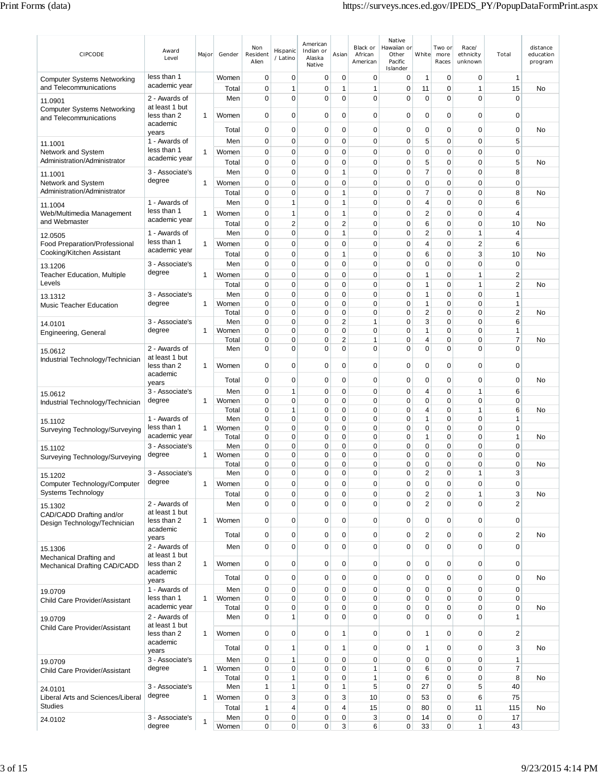| CIPCODE                                                      | Award<br>Level                            | Major        | Gender         | Non<br>Resident<br>Alien   | Hispanic<br>/ Latino | American<br>Indian or<br>Alaska<br>Native | Asian                      | Black or<br>African<br>American | Native<br>Hawaiian or<br>Other<br>Pacific<br>Islander | White                          | Two or<br>more<br>Races | Race/<br>ethnicity<br>unknown | Total                           | distance<br>education<br>program |
|--------------------------------------------------------------|-------------------------------------------|--------------|----------------|----------------------------|----------------------|-------------------------------------------|----------------------------|---------------------------------|-------------------------------------------------------|--------------------------------|-------------------------|-------------------------------|---------------------------------|----------------------------------|
| <b>Computer Systems Networking</b><br>and Telecommunications | less than 1<br>academic year              |              | Women<br>Total | 0<br>$\mathbf 0$           | 0<br>1               | 0<br>$\mathbf 0$                          | 0<br>1                     | 0<br>$\mathbf{1}$               | 0<br>0                                                | $\mathbf{1}$<br>11             | 0<br>0                  | 0<br>1                        | 1<br>15                         | No                               |
| 11.0901                                                      | 2 - Awards of                             |              | Men            | $\mathbf 0$                | $\mathbf 0$          | 0                                         | $\mathbf 0$                | $\mathbf 0$                     | 0                                                     | $\mathbf 0$                    | 0                       | 0                             | $\mathbf 0$                     |                                  |
| <b>Computer Systems Networking</b><br>and Telecommunications | at least 1 but<br>less than 2<br>academic | 1            | Women          | 0                          | $\mathbf 0$          | 0                                         | 0                          | 0                               | 0                                                     | $\mathbf 0$                    | 0                       | 0                             | 0                               |                                  |
|                                                              | years                                     |              | Total          | $\mathbf 0$                | $\mathbf 0$          | 0                                         | $\mathbf 0$                | $\mathbf 0$                     | 0                                                     | $\mathbf 0$                    | 0                       | 0                             | $\mathbf 0$                     | No                               |
| 11.1001                                                      | 1 - Awards of<br>less than 1              |              | Men            | 0                          | 0                    | $\mathbf 0$                               | $\mathbf 0$                | $\mathbf 0$                     | 0                                                     | 5                              | 0                       | 0                             | 5                               |                                  |
| Network and System<br>Administration/Administrator           | academic year                             | 1            | Women<br>Total | 0<br>0                     | $\mathbf 0$<br>0     | 0<br>0                                    | 0<br>0                     | $\mathbf 0$<br>0                | 0<br>0                                                | $\mathbf 0$<br>5               | 0<br>0                  | 0<br>0                        | $\mathbf 0$<br>5                | No                               |
| 11.1001                                                      | 3 - Associate's                           |              | Men            | $\mathbf 0$                | 0                    | 0                                         | 1                          | $\mathbf 0$                     | 0                                                     | $\overline{7}$                 | 0                       | 0                             | 8                               |                                  |
| Network and System                                           | degree                                    | 1            | Women          | 0                          | 0                    | 0                                         | 0                          | 0                               | 0                                                     | 0                              | 0                       | 0                             | 0                               |                                  |
| Administration/Administrator                                 |                                           |              | Total          | 0                          | $\mathbf 0$          | 0                                         | 1                          | $\mathbf 0$                     | 0                                                     | $\overline{7}$                 | 0                       | 0                             | 8                               | No                               |
| 11.1004                                                      | 1 - Awards of<br>less than 1              | 1            | Men<br>Women   | $\mathbf 0$<br>$\mathbf 0$ | $\mathbf{1}$<br>1    | 0<br>$\mathbf 0$                          | 1<br>1                     | $\mathbf 0$<br>$\mathbf 0$      | 0<br>$\mathbf 0$                                      | $\overline{4}$<br>$\sqrt{2}$   | 0<br>0                  | 0<br>0                        | 6<br>4                          |                                  |
| Web/Multimedia Management<br>and Webmaster                   | academic year                             |              | Total          | 0                          | $\overline{c}$       | 0                                         | $\overline{\mathbf{c}}$    | $\mathbf 0$                     | 0                                                     | 6                              | 0                       | 0                             | 10                              | No                               |
| 12.0505                                                      | 1 - Awards of                             |              | Men            | $\mathbf 0$                | $\mathbf 0$          | 0                                         | $\mathbf{1}$               | $\mathbf 0$                     | $\mathbf 0$                                           | $\boldsymbol{2}$               | 0                       | $\mathbf{1}$                  | $\overline{4}$                  |                                  |
| <b>Food Preparation/Professional</b>                         | less than 1<br>academic year              | 1            | Women          | $\mathbf 0$                | $\mathbf 0$          | 0                                         | $\mathbf 0$                | $\mathbf 0$                     | 0                                                     | $\overline{4}$                 | 0                       | 2                             | 6                               |                                  |
| Cooking/Kitchen Assistant                                    |                                           |              | Total          | 0                          | 0                    | 0<br>0                                    | 1<br>$\mathbf 0$           | $\mathbf 0$<br>$\mathbf 0$      | 0                                                     | 6                              | 0<br>0                  | 3<br>0                        | 10                              | No                               |
| 13.1206<br><b>Teacher Education, Multiple</b>                | 3 - Associate's<br>degree                 | 1            | Men<br>Women   | 0<br>$\mathbf 0$           | 0<br>$\mathbf 0$     | 0                                         | $\mathbf 0$                | $\mathbf 0$                     | 0<br>$\mathbf 0$                                      | $\mathbf 0$<br>$\mathbf{1}$    | 0                       | 1                             | $\mathbf 0$<br>$\boldsymbol{2}$ |                                  |
| Levels                                                       |                                           |              | Total          | $\mathbf 0$                | $\mathbf 0$          | 0                                         | $\mathbf 0$                | $\mathbf 0$                     | $\overline{0}$                                        | $\mathbf{1}$                   | 0                       | 1                             | $\overline{c}$                  | No                               |
| 13.1312                                                      | 3 - Associate's                           |              | Men            | 0                          | $\mathbf 0$          | 0                                         | $\mathbf 0$                | 0                               | 0                                                     | $\mathbf{1}$                   | 0                       | 0                             | 1                               |                                  |
| <b>Music Teacher Education</b>                               | degree                                    | 1            | Women<br>Total | 0<br>$\mathbf 0$           | 0<br>0               | 0<br>0                                    | 0<br>$\mathbf 0$           | 0<br>$\mathbf 0$                | 0<br>0                                                | $\mathbf{1}$<br>$\overline{2}$ | 0<br>0                  | 0<br>0                        | 1<br>$\mathbf 2$                | No                               |
| 14.0101                                                      | 3 - Associate's                           |              | Men            | $\mathbf 0$                | 0                    | 0                                         | $\overline{\mathbf{c}}$    | $\mathbf{1}$                    | 0                                                     | 3                              | $\mathbf 0$             | 0                             | 6                               |                                  |
| Engineering, General                                         | degree                                    | 1            | Women          | $\mathbf 0$                | $\mathbf 0$          | $\mathbf 0$                               | $\mathbf 0$                | $\mathbf 0$                     | 0                                                     | 1                              | 0                       | 0                             | 1                               |                                  |
|                                                              | 2 - Awards of                             |              | Total<br>Men   | 0<br>$\mathbf 0$           | 0<br>0               | 0<br>0                                    | $\overline{2}$<br>0        | $\mathbf{1}$<br>$\mathbf 0$     | 0<br>0                                                | $\overline{4}$<br>$\mathbf 0$  | 0<br>0                  | 0<br>0                        | 7<br>$\mathbf 0$                | No                               |
| 15.0612<br>Industrial Technology/Technician                  | at least 1 but                            |              |                |                            |                      |                                           |                            |                                 |                                                       |                                |                         |                               |                                 |                                  |
|                                                              | less than 2<br>academic                   | 1            | Women          | $\mathbf 0$                | $\mathbf 0$          | 0                                         | 0                          | 0                               | 0                                                     | $\mathbf 0$                    | 0                       | 0                             | 0                               |                                  |
|                                                              | years                                     |              | Total          | $\mathbf 0$                | $\mathbf 0$          | 0                                         | 0                          | $\mathbf 0$                     | 0                                                     | $\mathbf 0$                    | 0                       | 0                             | $\mathbf 0$                     | No                               |
| 15.0612                                                      | 3 - Associate's                           |              | Men            | $\mathbf 0$                | 1                    | 0                                         | $\mathbf 0$                | $\mathbf 0$                     | 0                                                     | $\overline{4}$                 | 0                       | 1                             | 6                               |                                  |
| Industrial Technology/Technician                             | degree                                    | 1            | Women<br>Total | $\mathbf 0$<br>$\mathbf 0$ | 0<br>1               | 0<br>0                                    | $\mathbf 0$<br>$\mathbf 0$ | $\mathbf 0$<br>$\mathbf 0$      | 0<br>0                                                | $\mathbf 0$<br>$\overline{4}$  | 0<br>0                  | 0<br>$\mathbf{1}$             | 0<br>6                          | No                               |
| 15.1102                                                      | 1 - Awards of                             |              | Men            | $\mathbf 0$                | $\mathbf 0$          | 0                                         | 0                          | 0                               | 0                                                     | $\mathbf{1}$                   | 0                       | 0                             | $\mathbf{1}$                    |                                  |
| Surveying Technology/Surveying                               | less than 1<br>academic year              | $\mathbf{1}$ | Women<br>Total | 0<br>$\mathbf 0$           | 0<br>$\mathbf 0$     | 0<br>0                                    | 0<br>0                     | 0<br>$\mathbf 0$                | 0<br>0                                                | $\mathbf 0$<br>$\mathbf{1}$    | 0<br>0                  | 0<br>0                        | $\mathbf 0$<br>$\mathbf{1}$     | No                               |
| 15.1102                                                      | 3 - Associate's                           |              | Men            | $\mathbf 0$                | 0                    | 0                                         | 0                          | $\mathbf 0$                     | 0                                                     | $\mathbf 0$                    | 0                       | 0                             | $\mathbf 0$                     |                                  |
| Surveying Technology/Surveying                               | degree                                    | 1            | Women          | $\mathbf 0$                | 0                    | 0                                         | 0                          | $\mathbf 0$                     | 0                                                     | $\mathbf 0$                    | 0                       | 0                             | 0                               |                                  |
| 15.1202                                                      | 3 - Associate's                           |              | Total<br>Men   | $\Omega$<br>0              | $\mathbf 0$<br>0     | $\Omega$<br>0                             | $\Omega$<br>0              | $\Omega$<br>0                   | 0<br>0                                                | $\mathbf 0$<br>2               | $\Omega$<br>0           | 0                             | $\mathbf 0$<br>3                | No                               |
| Computer Technology/Computer                                 | degree                                    | 1            | Women          | 0                          | 0                    | 0                                         | $\mathbf 0$                | $\mathbf 0$                     | 0                                                     | $\mathbf 0$                    | $\mathbf 0$             | 0                             | 0                               |                                  |
| <b>Systems Technology</b>                                    |                                           |              | Total          | 0                          | 0                    | 0                                         | 0                          | $\mathbf 0$                     | 0                                                     | $\overline{\mathbf{c}}$        | 0                       | 1                             | 3                               | No                               |
| 15.1302<br>CAD/CADD Drafting and/or                          | 2 - Awards of<br>at least 1 but           |              | Men            | $\mathbf 0$                | $\overline{0}$       | 0                                         | $\mathbf 0$                | $\mathbf 0$                     | $\mathbf 0$                                           | $\overline{2}$                 | $\Omega$                | $\Omega$                      | $\overline{2}$                  |                                  |
| Design Technology/Technician                                 | less than 2<br>academic                   | 1            | Women          | $\mathbf 0$                | $\mathbf 0$          | 0                                         | $\mathbf 0$                | $\mathbf 0$                     | $\mathbf 0$                                           | $\mathbf 0$                    | $\mathbf 0$             | 0                             | $\mathbf 0$                     |                                  |
|                                                              | years                                     |              | Total          | $\mathbf 0$                | $\mathbf 0$          | 0                                         | $\mathbf 0$                | $\mathbf 0$                     | 0                                                     | $\overline{2}$                 | 0                       | 0                             | $\overline{\mathbf{c}}$         | No                               |
| 15.1306                                                      | 2 - Awards of<br>at least 1 but           |              | Men            | $\mathbf 0$                | $\mathbf 0$          | 0                                         | $\mathbf 0$                | $\mathbf 0$                     | 0                                                     | $\mathbf 0$                    | $\mathbf 0$             | 0                             | 0                               |                                  |
| Mechanical Drafting and<br>Mechanical Drafting CAD/CADD      | less than 2                               | 1            | Women          | $\mathbf 0$                | $\mathbf 0$          | 0                                         | $\mathbf 0$                | $\mathbf 0$                     | $\mathbf 0$                                           | $\pmb{0}$                      | $\mathbf 0$             | 0                             | $\mathbf 0$                     |                                  |
|                                                              | academic<br>years                         |              | Total          | $\mathbf 0$                | $\mathbf 0$          | 0                                         | $\mathbf 0$                | $\mathbf 0$                     | 0                                                     | $\mathbf 0$                    | 0                       | 0                             | 0                               | No                               |
| 19.0709                                                      | 1 - Awards of                             |              | Men            | $\mathbf 0$                | 0                    | 0                                         | $\mathbf 0$                | $\mathbf 0$                     | 0                                                     | $\mathbf 0$                    | 0                       | 0                             | $\mathbf 0$                     |                                  |
| Child Care Provider/Assistant                                | less than 1<br>academic year              | 1            | Women          | 0<br>$\mathbf 0$           | 0<br>$\mathbf 0$     | 0<br>0                                    | 0                          | $\mathbf 0$<br>$\mathbf 0$      | 0<br>0                                                | $\mathbf 0$<br>$\mathbf 0$     | 0<br>0                  | 0<br>0                        | $\mathbf 0$<br>$\pmb{0}$        | No                               |
| 19.0709                                                      | 2 - Awards of                             |              | Total<br>Men   | 0                          | 1                    | 0                                         | 0<br>$\Omega$              | $\mathbf 0$                     | 0                                                     | $\mathbf 0$                    | $\Omega$                | 0                             | 1                               |                                  |
| Child Care Provider/Assistant                                | at least 1 but<br>less than 2             | 1            | Women          | $\mathbf 0$                | $\mathbf 0$          | 0                                         | 1                          | $\mathbf 0$                     | 0                                                     | $\mathbf{1}$                   | $\mathbf 0$             | 0                             | $\overline{\mathbf{c}}$         |                                  |
|                                                              | academic                                  |              | Total          | 0                          | 1                    | 0                                         | 1                          | $\mathbf 0$                     | 0                                                     | $\mathbf{1}$                   | 0                       | 0                             | 3                               | No                               |
|                                                              | years<br>3 - Associate's                  |              | Men            | $\mathbf 0$                | 1                    | 0                                         | $\mathbf 0$                | $\mathbf 0$                     | $\mathbf 0$                                           | $\mathbf 0$                    | 0                       | 0                             | $\mathbf{1}$                    |                                  |
| 19.0709<br>Child Care Provider/Assistant                     | degree                                    | $\mathbf{1}$ | Women          | $\mathbf 0$                | 0                    | 0                                         | 0                          | 1                               | 0                                                     | 6                              | 0                       | 0                             | 7                               |                                  |
|                                                              | 3 - Associate's                           |              | Total<br>Men   | $\mathbf 0$                | 1<br>1               | 0<br>0                                    | 0<br>1                     | $\mathbf{1}$<br>5               | 0<br>0                                                | 6<br>27                        | 0<br>0                  | 0<br>5                        | 8<br>40                         | No                               |
| 24.0101<br>Liberal Arts and Sciences/Liberal                 | degree                                    | 1            | Women          | 1<br>$\mathbf 0$           | 3                    | 0                                         | 3                          | 10                              | 0                                                     | 53                             | 0                       | 6                             | 75                              |                                  |
| <b>Studies</b>                                               |                                           |              | Total          | $\mathbf{1}$               | 4                    | 0                                         | 4                          | 15                              | $\mathbf 0$                                           | 80                             | 0                       | 11                            | 115                             | No                               |
| 24.0102                                                      | 3 - Associate's                           | 1            | Men            | $\mathbf 0$                | 0                    | 0                                         | $\mathbf 0$                | 3                               | 0                                                     | 14                             | 0                       | 0                             | 17                              |                                  |
|                                                              | degree                                    |              | Women          | $\mathbf 0$                | $\mathbf 0$          | 0                                         | 3                          | 6                               | 0                                                     | 33                             | 0                       | $\mathbf{1}$                  | 43                              |                                  |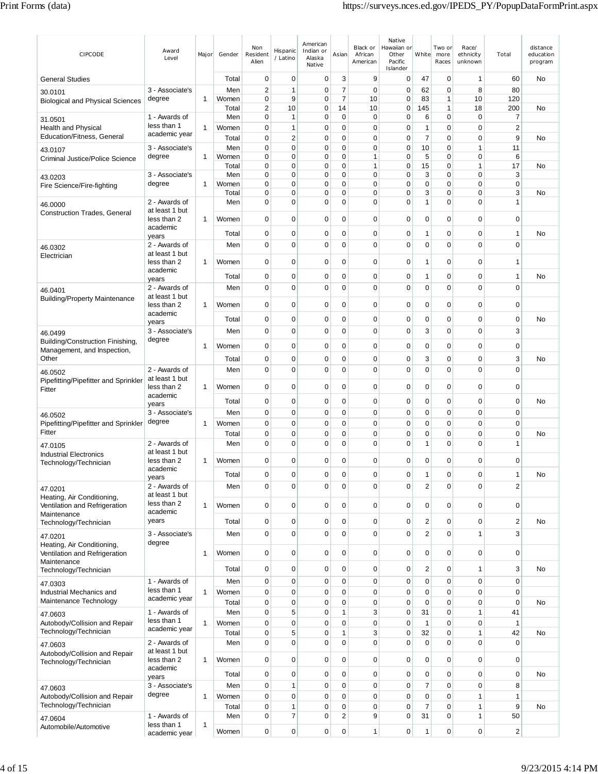| CIPCODE                                                | Award<br>Level                  | Major        | Gender       | Non<br>Resident<br>Alien | Hispanic<br>/ Latino | American<br>Indian or<br>Alaska<br>Native | Asian            | Black or<br>African<br>American | Native<br>Hawaiian or<br>Other<br>Pacific<br>Islander | White          | Two or<br>more<br>Races    | Race/<br>ethnicity<br>unknown | Total          | distance<br>education<br>program |
|--------------------------------------------------------|---------------------------------|--------------|--------------|--------------------------|----------------------|-------------------------------------------|------------------|---------------------------------|-------------------------------------------------------|----------------|----------------------------|-------------------------------|----------------|----------------------------------|
| <b>General Studies</b>                                 |                                 |              | Total        | $\mathbf 0$              | $\mathbf 0$          | $\mathbf 0$                               | 3                | 9                               | $\pmb{0}$                                             | 47             | $\mathbf 0$                | 1                             | 60             | No                               |
| 30.0101                                                | 3 - Associate's                 |              | Men          | $\overline{\mathbf{c}}$  | $\mathbf{1}$         | $\mathbf 0$                               | $\overline{7}$   | $\mathbf 0$                     | $\mathbf 0$                                           | 62             | $\mathbf 0$                | 8                             | 80             |                                  |
| <b>Biological and Physical Sciences</b>                | degree                          | 1            | Women        | 0                        | 9                    | 0                                         | 7                | 10                              | 0                                                     | 83             | 1                          | 10                            | 120            |                                  |
|                                                        | 1 - Awards of                   |              | Total<br>Men | $\sqrt{2}$<br>0          | 10<br>1              | $\mathbf 0$<br>0                          | 14<br>0          | 10<br>0                         | 0<br>0                                                | 145<br>6       | 1<br>0                     | 18<br>0                       | 200<br>7       | No                               |
| 31.0501<br><b>Health and Physical</b>                  | less than 1                     | 1            | Women        | 0                        | 1                    | $\mathbf 0$                               | $\mathbf 0$      | $\mathbf 0$                     | $\mathbf 0$                                           | 1              | $\mathbf 0$                | 0                             | 2              |                                  |
| Education/Fitness, General                             | academic year                   |              | Total        | 0                        | $\overline{2}$       | $\mathbf 0$                               | 0                | $\mathbf 0$                     | 0                                                     | $\overline{7}$ | $\mathbf 0$                | 0                             | 9              | No                               |
| 43.0107                                                | 3 - Associate's                 |              | Men          | 0                        | $\mathbf 0$          | $\mathbf 0$                               | $\mathbf 0$      | $\mathbf 0$                     | $\pmb{0}$                                             | 10             | $\mathbf 0$                | 1                             | 11             |                                  |
| <b>Criminal Justice/Police Science</b>                 | degree                          | $\mathbf{1}$ | Women        | 0                        | 0                    | $\mathbf 0$                               | 0                | $\mathbf{1}$                    | $\mathbf 0$                                           | 5              | $\mathbf 0$                | 0                             | 6              |                                  |
|                                                        |                                 |              | Total        | 0<br>0                   | 0<br>0               | $\mathbf 0$<br>$\mathbf 0$                | $\mathbf 0$      | $\mathbf{1}$<br>$\mathbf 0$     | 0<br>0                                                | 15<br>3        | $\mathbf 0$<br>$\mathbf 0$ | $\mathbf{1}$<br>0             | 17<br>3        | No                               |
| 43.0203<br>Fire Science/Fire-fighting                  | 3 - Associate's<br>degree       | 1            | Men<br>Women | 0                        | 0                    | $\mathbf 0$                               | 0<br>$\mathbf 0$ | $\mathbf 0$                     | 0                                                     | 0              | 0                          | 0                             | $\pmb{0}$      |                                  |
|                                                        |                                 |              | Total        | $\mathbf 0$              | 0                    | 0                                         | $\mathbf 0$      | 0                               | 0                                                     | 3              | 0                          | $\Omega$                      | 3              | No                               |
| 46.0000                                                | 2 - Awards of                   |              | Men          | $\mathbf 0$              | $\overline{0}$       | $\mathbf 0$                               | $\mathbf 0$      | $\mathbf 0$                     | 0                                                     | 1              | 0                          | 0                             | $\mathbf{1}$   |                                  |
| <b>Construction Trades, General</b>                    | at least 1 but<br>less than 2   | 1            | Women        | 0                        | 0                    | $\mathbf 0$                               | $\mathbf 0$      | 0                               | 0                                                     | 0              | $\mathbf 0$                | 0                             | 0              |                                  |
|                                                        | academic                        |              |              |                          |                      |                                           |                  |                                 |                                                       |                |                            |                               |                |                                  |
|                                                        | years                           |              | Total        | 0                        | 0                    | 0                                         | 0                | $\mathbf 0$                     | 0                                                     | 1              | 0                          | 0                             | 1              | No                               |
| 46.0302                                                | 2 - Awards of<br>at least 1 but |              | Men          | $\mathbf 0$              | 0                    | $\mathbf 0$                               | $\mathbf 0$      | $\mathbf 0$                     | $\pmb{0}$                                             | 0              | $\mathbf 0$                | $\Omega$                      | $\mathbf 0$    |                                  |
| Electrician                                            | less than 2                     | 1            | Women        | 0                        | $\mathbf 0$          | $\mathbf 0$                               | $\mathbf 0$      | $\mathbf 0$                     | $\mathbf 0$                                           | 1              | $\mathbf 0$                | 0                             | 1              |                                  |
|                                                        | academic                        |              | Total        | $\mathbf 0$              | 0                    | $\mathbf 0$                               | 0                | $\mathbf 0$                     | $\mathbf 0$                                           | 1              | $\mathbf 0$                | 0                             | 1              | No                               |
| 46.0401                                                | years<br>2 - Awards of          |              | Men          | 0                        | 0                    | $\mathbf 0$                               | $\mathbf 0$      | $\mathbf 0$                     | 0                                                     | 0              | $\mathbf 0$                | 0                             | $\mathbf 0$    |                                  |
| <b>Building/Property Maintenance</b>                   | at least 1 but                  |              |              |                          |                      |                                           |                  |                                 |                                                       |                |                            |                               |                |                                  |
|                                                        | less than 2<br>academic         | 1            | Women        | $\mathbf 0$              | 0                    | 0                                         | 0                | $\mathbf 0$                     | $\mathbf 0$                                           | 0              | 0                          | 0                             | $\mathbf 0$    |                                  |
|                                                        | years                           |              | Total        | $\mathbf 0$              | 0                    | $\mathbf 0$                               | 0                | 0                               | $\mathbf 0$                                           | 0              | $\mathbf 0$                | 0                             | $\pmb{0}$      | No                               |
| 46.0499                                                | 3 - Associate's                 |              | Men          | $\mathbf 0$              | $\mathbf 0$          | $\mathbf 0$                               | $\mathbf 0$      | $\mathbf 0$                     | $\mathbf 0$                                           | 3              | $\mathbf 0$                | 0                             | 3              |                                  |
| Building/Construction Finishing,                       | degree                          | 1            | Women        | 0                        | $\mathbf 0$          | 0                                         | $\mathbf 0$      | $\mathbf 0$                     | $\mathbf 0$                                           | 0              | 0                          | 0                             | $\mathbf 0$    |                                  |
| Management, and Inspection,<br>Other                   |                                 |              | Total        | $\mathbf 0$              | $\mathbf 0$          | 0                                         | 0                | $\mathbf 0$                     | $\mathbf 0$                                           | 3              | $\mathbf 0$                | 0                             | 3              | No                               |
|                                                        | 2 - Awards of                   |              | Men          | 0                        | 0                    | $\mathbf 0$                               | $\mathbf 0$      | $\mathbf 0$                     | $\mathbf 0$                                           | 0              | $\mathbf 0$                | 0                             | $\mathbf 0$    |                                  |
| 46.0502<br>Pipefitting/Pipefitter and Sprinkler        | at least 1 but                  |              |              |                          |                      |                                           |                  |                                 |                                                       |                |                            |                               |                |                                  |
| Fitter                                                 | less than 2                     | 1            | Women        | $\mathbf 0$              | 0                    | $\mathbf 0$                               | 0                | $\mathbf 0$                     | $\mathbf 0$                                           | 0              | 0                          | 0                             | $\mathbf 0$    |                                  |
|                                                        | academic<br>years               |              | Total        | $\mathbf 0$              | 0                    | $\mathbf 0$                               | 0                | 0                               | $\mathbf 0$                                           | 0              | $\mathbf 0$                | 0                             | $\pmb{0}$      | No                               |
| 46.0502                                                | 3 - Associate's                 |              | Men          | 0                        | 0                    | $\mathbf 0$                               | $\mathbf 0$      | $\mathbf 0$                     | $\mathbf 0$                                           | 0              | $\mathbf 0$                | $\mathbf 0$                   | $\mathbf 0$    |                                  |
| Pipefitting/Pipefitter and Sprinkler                   | degree                          | 1            | Women        | 0                        | 0                    | $\mathbf 0$                               | 0                | 0                               | $\mathbf 0$                                           | 0              | 0                          | 0                             | $\mathbf 0$    |                                  |
| Fitter                                                 |                                 |              | Total        | 0                        | 0                    | 0                                         | 0                | 0                               | 0                                                     | 0              | 0                          | 0                             | $\mathbf 0$    | No                               |
| 47.0105                                                | 2 - Awards of<br>at least 1 but |              | Men          | $\mathbf 0$              | $\mathbf 0$          | $\mathbf 0$                               | $\mathbf 0$      | $\mathbf 0$                     | $\pmb{0}$                                             | 1              | $\mathbf 0$                | 0                             | $\mathbf{1}$   |                                  |
| <b>Industrial Electronics</b><br>Technology/Technician | less than 2                     | 1            | Women        | 0                        | 0                    | 0                                         | $\mathbf 0$      | 0                               | 0                                                     | 0              | 0                          | 0                             | $\mathbf 0$    |                                  |
|                                                        | academic                        |              | Total        | $\pmb{0}$                | 0                    | 0                                         | $\pmb{0}$        | $\pmb{0}$                       | 0                                                     | 1              | 0                          | 0                             | 1              | No                               |
|                                                        | years<br>2 - Awards of          |              | Men          | $\mathbf 0$              | $\mathbf 0$          | $\mathbf 0$                               | $\mathbf 0$      | $\mathbf 0$                     | $\mathbf 0$                                           | $\mathbf 2$    | $\Omega$                   | $\mathbf 0$                   | $\overline{c}$ |                                  |
| 47.0201<br>Heating, Air Conditioning,                  | at least 1 but                  |              |              |                          |                      |                                           |                  |                                 |                                                       |                |                            |                               |                |                                  |
| Ventilation and Refrigeration                          | less than 2                     | $\mathbf{1}$ | Women        | 0                        | $\mathbf 0$          | 0                                         | 0                | 0                               | $\mathbf 0$                                           | 0              | 0                          | 0                             | 0              |                                  |
| Maintenance                                            | academic<br>years               |              | Total        | $\mathbf 0$              | $\mathbf 0$          | $\mathbf 0$                               | 0                | $\mathbf 0$                     | $\mathbf 0$                                           | $\mathbf 2$    | $\mathbf 0$                | $\mathbf 0$                   | $\overline{c}$ | No                               |
| Technology/Technician                                  | 3 - Associate's                 |              |              |                          | 0                    | $\mathbf 0$                               | $\mathbf 0$      |                                 | 0                                                     |                | $\mathbf 0$                | 1                             | 3              |                                  |
| 47.0201<br>Heating, Air Conditioning,                  | degree                          |              | Men          | 0                        |                      |                                           |                  | $\mathbf 0$                     |                                                       | $\mathbf 2$    |                            |                               |                |                                  |
| Ventilation and Refrigeration                          |                                 | 1            | Women        | 0                        | 0                    | $\mathbf 0$                               | $\mathbf 0$      | $\mathbf 0$                     | 0                                                     | 0              | $\mathbf 0$                | 0                             | $\mathbf 0$    |                                  |
| Maintenance                                            |                                 |              | Total        | $\mathbf 0$              | $\mathbf 0$          | 0                                         | 0                | $\mathbf 0$                     | 0                                                     | $\mathbf 2$    | $\mathbf 0$                | 1                             | 3              | No                               |
| Technology/Technician                                  | 1 - Awards of                   |              | Men          | $\pmb{0}$                | $\mathbf 0$          | $\mathbf 0$                               | $\mathbf 0$      | $\mathbf 0$                     | $\pmb{0}$                                             | $\pmb{0}$      | $\mathbf 0$                | $\overline{0}$                | $\pmb{0}$      |                                  |
| 47.0303<br>Industrial Mechanics and                    | less than 1                     | 1            | Women        | 0                        | 0                    | $\mathbf 0$                               | 0                | $\mathbf 0$                     | 0                                                     | 0              | $\mathbf 0$                | 0                             | $\mathbf 0$    |                                  |
| Maintenance Technology                                 | academic year                   |              | Total        | $\mathbf 0$              | 0                    | $\mathbf 0$                               | $\mathbf 0$      | $\mathbf 0$                     | $\pmb{0}$                                             | $\mathbf 0$    | 0                          | 0                             | $\mathbf 0$    | No                               |
| 47.0603                                                | 1 - Awards of                   |              | Men          | $\mathbf 0$              | 5                    | $\mathbf 0$                               | $\mathbf{1}$     | 3                               | $\pmb{0}$                                             | 31             | $\mathbf 0$                | 1                             | 41             |                                  |
| Autobody/Collision and Repair                          | less than 1                     | $\mathbf{1}$ | Women        | $\mathbf 0$              | $\mathbf 0$          | $\mathbf 0$                               | 0                | $\mathbf 0$                     | $\pmb{0}$                                             | 1              | $\mathbf 0$                | 0                             | $\mathbf{1}$   |                                  |
| Technology/Technician                                  | academic year                   |              | Total        | 0                        | 5                    | $\mathbf 0$                               | $\overline{1}$   | 3                               | $\mathbf 0$                                           | 32             | $\mathbf 0$                | 1                             | 42             | No                               |
| 47.0603                                                | 2 - Awards of<br>at least 1 but |              | Men          | $\pmb{0}$                | $\mathbf 0$          | $\mathbf 0$                               | $\mathbf 0$      | $\mathbf 0$                     | $\mathbf 0$                                           | $\mathbf 0$    | $\mathbf 0$                | $\mathbf 0$                   | $\pmb{0}$      |                                  |
| Autobody/Collision and Repair<br>Technology/Technician | less than 2                     | 1            | Women        | $\pmb{0}$                | 0                    | $\mathbf 0$                               | $\mathbf 0$      | $\mathbf 0$                     | 0                                                     | $\mathbf 0$    | $\mathbf 0$                | 0                             | $\pmb{0}$      |                                  |
|                                                        | academic                        |              | Total        | $\mathbf 0$              | $\mathbf 0$          | $\pmb{0}$                                 | $\mathbf 0$      | $\pmb{0}$                       | 0                                                     | $\mathbf 0$    | $\mathbf 0$                | $\mathbf 0$                   | $\mathbf 0$    | No                               |
|                                                        | years<br>3 - Associate's        |              | Men          | 0                        | 1                    | $\mathbf 0$                               | $\mathbf 0$      | $\mathbf 0$                     | 0                                                     | 7              | $\mathbf 0$                | 0                             | 8              |                                  |
| 47.0603<br>Autobody/Collision and Repair               | degree                          | $\mathbf{1}$ | Women        | $\mathbf 0$              | $\mathbf 0$          | $\mathbf 0$                               | 0                | $\mathbf 0$                     | $\pmb{0}$                                             | $\mathbf 0$    | $\mathbf 0$                | 1                             | 1              |                                  |
| Technology/Technician                                  |                                 |              | Total        | $\mathbf 0$              | 1                    | $\mathbf 0$                               | $\mathbf 0$      | $\mathbf 0$                     | $\pmb{0}$                                             | $\overline{7}$ | $\mathbf 0$                | 1                             | 9              | No                               |
| 47.0604                                                | 1 - Awards of                   |              | Men          | 0                        | 7                    | $\mathbf 0$                               | $\overline{2}$   | 9                               | $\mathbf 0$                                           | 31             | $\mathbf 0$                | 1                             | 50             |                                  |
| Automobile/Automotive                                  | less than 1<br>academic year    | $\mathbf{1}$ | Women        | $\mathbf 0$              | $\pmb{0}$            | $\pmb{0}$                                 | $\mathbf 0$      | $\mathbf{1}$                    | $\pmb{0}$                                             | 1              | $\pmb{0}$                  | $\pmb{0}$                     | $\sqrt{2}$     |                                  |
|                                                        |                                 |              |              |                          |                      |                                           |                  |                                 |                                                       |                |                            |                               |                |                                  |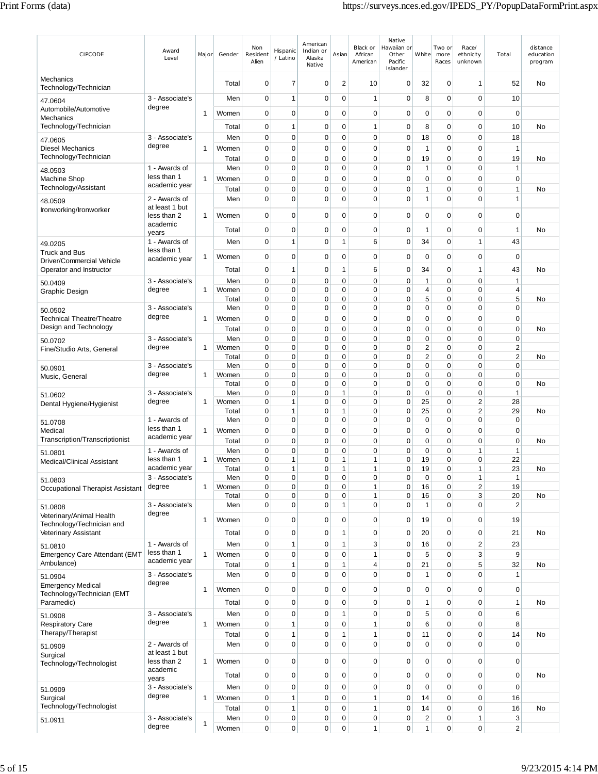| CIPCODE                                                | Award<br>Level                  | Major        | Gender         | Non<br>Resident<br>Alien | Hispanic<br>/ Latino         | American<br>Indian or<br>Alaska<br>Native | Asian                       | Black or<br>African<br>American | Native<br>Hawaiian or<br>Other<br>Pacific<br>Islander | White                   | Two or<br>more<br>Races    | Race/<br>ethnicity<br>unknown | Total                | distance<br>education<br>program |
|--------------------------------------------------------|---------------------------------|--------------|----------------|--------------------------|------------------------------|-------------------------------------------|-----------------------------|---------------------------------|-------------------------------------------------------|-------------------------|----------------------------|-------------------------------|----------------------|----------------------------------|
| Mechanics<br>Technology/Technician                     |                                 |              | Total          | $\mathbf 0$              | 7                            | $\mathbf 0$                               | $\overline{2}$              | 10                              | 0                                                     | 32                      | 0                          | 1                             | 52                   | No                               |
| 47.0604                                                | 3 - Associate's                 |              | Men            | $\mathbf 0$              | $\mathbf{1}$                 | 0                                         | $\mathbf 0$                 | $\mathbf{1}$                    | 0                                                     | 8                       | 0                          | 0                             | 10                   |                                  |
| Automobile/Automotive<br>Mechanics                     | degree                          | $\mathbf{1}$ | Women          | $\mathbf 0$              | 0                            | 0                                         | $\mathbf 0$                 | 0                               | 0                                                     | $\mathbf 0$             | 0                          | 0                             | 0                    |                                  |
| Technology/Technician                                  |                                 |              | Total          | 0                        | 1                            | 0                                         | 0                           | 1                               | 0                                                     | 8                       | 0                          | 0                             | 10                   | No                               |
| 47.0605                                                | 3 - Associate's                 |              | Men            | $\mathbf 0$              | 0                            | $\mathbf 0$                               | $\mathbf 0$                 | $\mathbf 0$                     | 0                                                     | 18                      | 0                          | 0                             | 18                   |                                  |
| <b>Diesel Mechanics</b>                                | degree                          | 1            | Women          | 0                        | 0                            | 0                                         | 0                           | $\mathbf 0$                     | 0                                                     | 1                       | 0                          | 0                             | $\mathbf{1}$         |                                  |
| Technology/Technician                                  | 1 - Awards of                   |              | Total<br>Men   | 0<br>$\mathbf 0$         | 0<br>0                       | 0<br>0                                    | 0<br>$\mathbf 0$            | 0<br>$\mathbf 0$                | 0<br>0                                                | 19<br>1                 | 0<br>0                     | 0<br>$\mathbf 0$              | 19<br>$\mathbf{1}$   | No                               |
| 48.0503<br>Machine Shop                                | less than 1                     | 1            | Women          | 0                        | 0                            | $\mathbf 0$                               | 0                           | 0                               | 0                                                     | 0                       | 0                          | 0                             | $\mathbf 0$          |                                  |
| Technology/Assistant                                   | academic year                   |              | Total          | 0                        | 0                            | 0                                         | 0                           | $\mathbf 0$                     | 0                                                     | 1                       | 0                          | $\mathbf 0$                   | $\mathbf{1}$         | No                               |
| 48.0509                                                | 2 - Awards of<br>at least 1 but |              | Men            | 0                        | 0                            | $\mathbf 0$                               | $\mathbf 0$                 | $\mathbf 0$                     | 0                                                     | 1                       | 0                          | 0                             | 1                    |                                  |
| Ironworking/Ironworker                                 | less than 2                     | 1            | Women          | $\mathbf 0$              | 0                            | 0                                         | 0                           | $\mathbf 0$                     | 0                                                     | 0                       | 0                          | 0                             | 0                    |                                  |
|                                                        | academic                        |              | Total          | 0                        | 0                            | 0                                         | 0                           | 0                               | 0                                                     | 1                       | 0                          | 0                             | 1                    | <b>No</b>                        |
| 49.0205                                                | years<br>1 - Awards of          |              | Men            | $\mathbf 0$              | $\mathbf{1}$                 | $\mathbf 0$                               | $\mathbf{1}$                | 6                               | $\mathbf 0$                                           | 34                      | 0                          | 1                             | 43                   |                                  |
| Truck and Bus                                          | less than 1                     | 1            | Women          | 0                        | 0                            | 0                                         | 0                           | $\mathbf 0$                     | 0                                                     | 0                       | 0                          | 0                             | 0                    |                                  |
| Driver/Commercial Vehicle<br>Operator and Instructor   | academic year                   |              | Total          | $\mathbf 0$              | 1                            | 0                                         | 1                           | 6                               | 0                                                     | 34                      | 0                          | 1                             | 43                   | No                               |
| 50.0409                                                | 3 - Associate's                 |              | Men            | $\mathbf 0$              | 0                            | 0                                         | $\mathbf 0$                 | $\mathbf 0$                     | 0                                                     | 1                       | 0                          | 0                             | 1                    |                                  |
| Graphic Design                                         | degree                          | 1            | Women          | 0                        | 0                            | $\mathbf 0$                               | $\mathbf 0$                 | $\mathbf 0$                     | 0                                                     | 4                       | 0                          | 0                             | 4                    |                                  |
|                                                        | 3 - Associate's                 |              | Total<br>Men   | 0<br>$\mathbf 0$         | 0<br>0                       | 0<br>0                                    | $\mathbf 0$<br>$\mathbf 0$  | 0<br>$\mathbf 0$                | 0<br>0                                                | 5<br>0                  | 0<br>0                     | 0<br>0                        | 5<br>0               | No                               |
| 50.0502<br><b>Technical Theatre/Theatre</b>            | degree                          | $\mathbf{1}$ | Women          | 0                        | 0                            | 0                                         | 0                           | $\mathbf 0$                     | 0                                                     | $\mathbf 0$             | 0                          | 0                             | $\mathbf 0$          |                                  |
| Design and Technology                                  |                                 |              | Total          | 0                        | 0                            | 0                                         | 0                           | 0                               | 0                                                     | 0                       | 0                          | 0                             | $\mathbf 0$          | No                               |
| 50.0702                                                | 3 - Associate's                 |              | Men            | $\mathbf 0$              | 0                            | 0                                         | $\mathbf 0$                 | $\mathbf 0$                     | 0                                                     | $\mathbf 0$             | $\mathbf 0$                | 0                             | $\mathbf 0$          |                                  |
| Fine/Studio Arts, General                              | degree                          | 1            | Women<br>Total | 0<br>$\mathbf 0$         | 0<br>0                       | 0<br>0                                    | $\mathbf 0$<br>0            | $\mathbf 0$<br>$\mathbf 0$      | $\mathbf 0$<br>0                                      | 2<br>$\overline{c}$     | 0<br>0                     | 0<br>0                        | 2<br>$\overline{c}$  | No                               |
| 50.0901                                                | 3 - Associate's                 |              | Men            | 0                        | 0                            | $\mathbf 0$                               | $\mathbf 0$                 | $\mathbf 0$                     | 0                                                     | $\mathbf 0$             | 0                          | 0                             | $\mathbf 0$          |                                  |
| Music, General                                         | degree                          | 1            | Women          | 0                        | 0                            | 0                                         | $\mathbf 0$                 | $\mathbf 0$                     | 0                                                     | 0                       | 0                          | 0                             | 0                    |                                  |
|                                                        | 3 - Associate's                 |              | Total<br>Men   | $\mathbf 0$<br>0         | 0<br>0                       | $\mathbf 0$<br>$\mathbf 0$                | $\mathbf 0$<br>1            | $\mathbf 0$<br>$\mathbf 0$      | $\mathbf 0$<br>$\Omega$                               | $\mathbf 0$<br>0        | 0<br>0                     | 0<br>0                        | $\mathbf 0$<br>1     | <b>No</b>                        |
| 51.0602<br>Dental Hygiene/Hygienist                    | degree                          | 1            | Women          | 0                        | 1                            | 0                                         | 0                           | $\mathbf 0$                     | 0                                                     | 25                      | 0                          | 2                             | 28                   |                                  |
|                                                        |                                 |              | Total          | 0<br>0                   | 1<br>0                       | 0                                         | 1<br>$\mathbf 0$            | 0<br>$\mathbf 0$                | 0                                                     | 25<br>$\mathbf 0$       | 0<br>0                     | $\overline{2}$<br>0           | 29                   | No                               |
| 51.0708<br>Medical                                     | 1 - Awards of<br>less than 1    | 1            | Men<br>Women   | $\mathbf 0$              | 0                            | 0<br>$\mathbf 0$                          | $\mathbf 0$                 | $\mathbf 0$                     | 0<br>0                                                | $\mathbf 0$             | 0                          | 0                             | 0<br>$\mathbf 0$     |                                  |
| Transcription/Transcriptionist                         | academic year                   |              | Total          | 0                        | 0                            | $\mathbf 0$                               | $\mathbf 0$                 | $\mathbf 0$                     | 0                                                     | $\mathbf 0$             | 0                          | 0                             | $\mathbf 0$          | No                               |
| 51.0801                                                | 1 - Awards of                   |              | Men            | 0                        | 0                            | 0                                         | 0                           | $\mathbf 0$                     | 0                                                     | $\mathbf 0$             | 0                          | 1                             | $\mathbf{1}$         |                                  |
| <b>Medical/Clinical Assistant</b>                      | less than 1<br>academic year    | 1            | Women<br>Total | 0<br>0                   | $\mathbf{1}$<br>$\mathbf{1}$ | 0<br>$\Omega$                             | 1<br>1                      | 1<br>$\mathbf{1}$               | 0<br>$\Omega$                                         | 19<br>19                | 0<br>0                     | 0<br>1                        | 22<br>23             | No                               |
| 51.0803                                                | 3 - Associate's                 |              | Men            | $\mathbf 0$              | 0                            | $\mathbf 0$                               | $\mathbf 0$                 | 0                               | 0                                                     | $\pmb{0}$               | 0                          | 1                             | 1                    |                                  |
| Occupational Therapist Assistant                       | degree                          | 1            | Women          | 0                        | 0<br>0                       | $\mathbf 0$                               | $\mathbf 0$                 | 1                               | 0                                                     | 16                      | 0                          | 2<br>3                        | 19                   |                                  |
| 51.0808                                                | 3 - Associate's                 |              | Total<br>Men   | 0<br>$\mathbf 0$         | 0                            | 0<br>0                                    | $\mathbf 0$<br>$\mathbf{1}$ | 1<br>$\mathbf 0$                | 0<br>0                                                | 16<br>1                 | 0<br>0                     | 0                             | 20<br>$\overline{2}$ | No                               |
| Veterinary/Animal Health                               | degree                          | $\mathbf{1}$ | Women          | $\mathbf 0$              | 0                            | $\mathbf 0$                               | $\mathbf 0$                 | $\mathbf 0$                     | 0                                                     | 19                      | 0                          | $\mathbf 0$                   | 19                   |                                  |
| Technology/Technician and<br>Veterinary Assistant      |                                 |              | Total          | 0                        | 0                            | 0                                         | $\mathbf{1}$                | $\mathbf 0$                     | 0                                                     | 20                      | 0                          | $\mathbf 0$                   | 21                   | No                               |
| 51.0810                                                | 1 - Awards of                   |              | Men            | $\pmb{0}$                | $\mathbf{1}$                 | $\mathbf 0$                               | $\mathbf{1}$                | 3                               | 0                                                     | 16                      | $\mathbf 0$                | $\sqrt{2}$                    | 23                   |                                  |
| <b>Emergency Care Attendant (EMT</b>                   | less than 1                     | $\mathbf{1}$ | Women          | 0                        | 0                            | $\mathbf 0$                               | $\mathbf 0$                 | $\mathbf{1}$                    | 0                                                     | 5                       | 0                          | 3                             | $\boldsymbol{9}$     |                                  |
| Ambulance)                                             | academic year                   |              | Total          | 0                        | $\mathbf{1}$                 | 0                                         | $\mathbf{1}$                | $\overline{\mathbf{4}}$         | 0                                                     | 21                      | $\mathbf 0$                | 5                             | 32                   | No                               |
| 51.0904                                                | 3 - Associate's<br>degree       |              | Men            | $\mathbf 0$              | $\mathbf 0$                  | $\mathbf 0$                               | $\mathbf 0$                 | $\mathbf 0$                     | 0                                                     | $\mathbf{1}$            | 0                          | 0                             | 1                    |                                  |
| <b>Emergency Medical</b><br>Technology/Technician (EMT |                                 | 1            | Women          | $\pmb{0}$                | 0                            | $\mathbf 0$                               | $\mathbf 0$                 | $\mathbf 0$                     | 0                                                     | $\mathbf 0$             | $\mathbf 0$                | $\mathbf 0$                   | $\mathbf 0$          |                                  |
| Paramedic)                                             |                                 |              | Total          | $\mathbf 0$              | 0                            | $\mathbf 0$                               | $\mathbf 0$                 | $\pmb{0}$                       | 0                                                     | 1                       | 0                          | $\mathbf 0$                   | $\mathbf{1}$         | No                               |
| 51.0908                                                | 3 - Associate's                 |              | Men            | 0                        | 0                            | $\mathbf 0$                               | $\mathbf{1}$                | $\pmb{0}$                       | 0                                                     | 5                       | $\mathbf 0$                | $\mathbf 0$                   | 6                    |                                  |
| <b>Respiratory Care</b><br>Therapy/Therapist           | degree                          | $\mathbf{1}$ | Women          | $\mathbf 0$<br>0         | 1<br>$\mathbf{1}$            | $\mathbf 0$                               | $\mathbf 0$<br>$\mathbf{1}$ | $\mathbf{1}$<br>$\mathbf{1}$    | $\mathbf 0$<br>0                                      | 6<br>11                 | $\mathbf 0$<br>$\mathbf 0$ | $\mathbf 0$<br>0              | 8                    |                                  |
| 51.0909                                                | 2 - Awards of                   |              | Total<br>Men   | $\mathbf 0$              | $\mathbf 0$                  | 0<br>$\mathbf 0$                          | $\mathbf 0$                 | $\mathbf 0$                     | $\mathbf 0$                                           | $\mathbf 0$             | 0                          | 0                             | 14<br>$\mathbf 0$    | No                               |
| Surgical                                               | at least 1 but                  |              |                |                          |                              |                                           |                             |                                 |                                                       |                         |                            |                               |                      |                                  |
| Technology/Technologist                                | less than 2<br>academic         | $\mathbf{1}$ | Women          | $\mathbf 0$              | 0                            | $\mathbf 0$                               | $\pmb{0}$                   | $\mathbf 0$                     | 0                                                     | $\mathbf 0$             | $\mathbf 0$                | $\mathbf 0$                   | $\mathbf 0$          |                                  |
|                                                        | years                           |              | Total          | 0                        | 0                            | $\mathbf 0$                               | $\mathbf 0$                 | $\mathbf 0$                     | 0                                                     | $\pmb{0}$               | 0                          | $\mathbf 0$                   | $\mathbf 0$          | No                               |
| 51.0909                                                | 3 - Associate's<br>degree       |              | Men            | $\mathbf 0$              | 0                            | $\mathbf 0$                               | $\mathbf 0$                 | $\pmb{0}$                       | 0                                                     | $\mathbf 0$             | 0                          | $\mathbf 0$                   | $\mathbf 0$          |                                  |
| Surgical<br>Technology/Technologist                    |                                 | 1            | Women<br>Total | 0<br>0                   | $\mathbf{1}$<br>$\mathbf{1}$ | 0<br>$\mathbf 0$                          | $\mathbf 0$<br>$\mathbf 0$  | 1<br>$\mathbf{1}$               | 0<br>0                                                | 14<br>14                | 0<br>$\mathbf 0$           | $\mathbf 0$<br>$\mathbf 0$    | 16<br>16             | No                               |
| 51.0911                                                | 3 - Associate's                 |              | Men            | 0                        | 0                            | $\mathbf 0$                               | $\mathbf 0$                 | $\mathbf 0$                     | 0                                                     | $\overline{\mathbf{c}}$ | 0                          | 1                             | 3                    |                                  |
|                                                        | degree                          | 1            | Women          | $\mathbf 0$              | 0                            | 0                                         | $\mathbf 0$                 | $\mathbf{1}$                    | 0                                                     | $\mathbf{1}$            | 0                          | $\pmb{0}$                     | 2                    |                                  |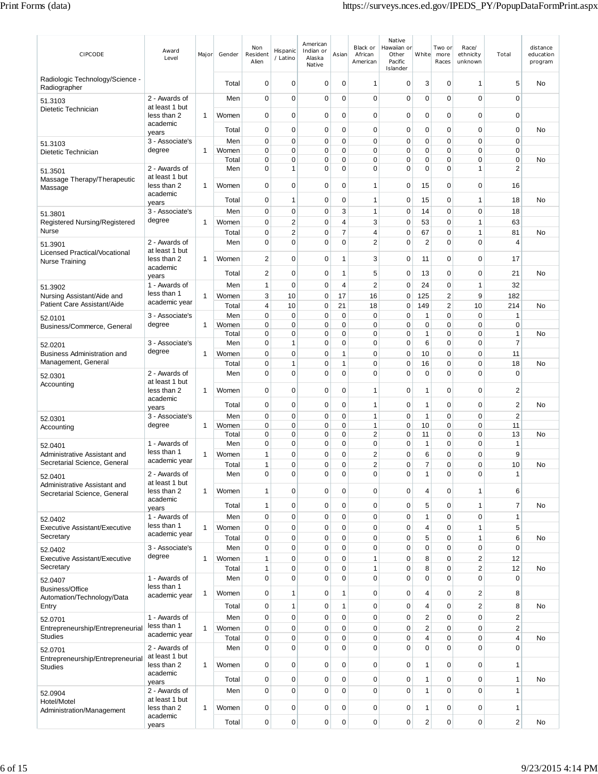| <b>CIPCODE</b>                                               | Award<br>Level                  | Major        | Gender         | Non<br>Resident<br>Alien | Hispanic<br>/ Latino          | American<br>Indian or<br>Alaska<br>Native | Asian                      | Black or<br>African<br>American | Native<br>Hawaiian or<br>Other<br>Pacific<br>Islander | White                       | Two or<br>more<br>Races          | Race/<br>ethnicity<br>unknown | Total                       | distance<br>education<br>program |
|--------------------------------------------------------------|---------------------------------|--------------|----------------|--------------------------|-------------------------------|-------------------------------------------|----------------------------|---------------------------------|-------------------------------------------------------|-----------------------------|----------------------------------|-------------------------------|-----------------------------|----------------------------------|
| Radiologic Technology/Science -<br>Radiographer              |                                 |              | Total          | 0                        | $\mathbf 0$                   | 0                                         | 0                          | $\mathbf{1}$                    | 0                                                     | 3                           | $\mathbf 0$                      | 1                             | 5                           | No                               |
| 51.3103                                                      | 2 - Awards of<br>at least 1 but |              | Men            | $\mathbf 0$              | $\mathbf 0$                   | 0                                         | $\Omega$                   | $\mathbf 0$                     | $\mathbf 0$                                           | $\mathbf 0$                 | $\mathbf 0$                      | $\mathbf 0$                   | $\mathbf 0$                 |                                  |
| Dietetic Technician                                          | less than 2                     | 1            | Women          | $\mathbf 0$              | $\mathbf 0$                   | 0                                         | 0                          | 0                               | 0                                                     | 0                           | $\mathbf 0$                      | 0                             | $\mathbf 0$                 |                                  |
|                                                              | academic<br>years               |              | Total          | 0                        | $\mathbf 0$                   | 0                                         | $\mathbf 0$                | 0                               | 0                                                     | 0                           | $\mathbf 0$                      | $\mathbf 0$                   | $\mathbf 0$                 | No                               |
| 51.3103                                                      | 3 - Associate's<br>degree       | 1            | Men<br>Women   | 0<br>0                   | $\mathbf 0$<br>$\mathbf 0$    | 0<br>0                                    | $\mathbf 0$<br>$\mathbf 0$ | 0<br>0                          | 0<br>0                                                | 0<br>0                      | $\mathbf 0$<br>$\mathbf 0$       | 0<br>0                        | $\mathbf 0$<br>$\mathbf 0$  |                                  |
| Dietetic Technician                                          |                                 |              | Total          | 0                        | 0                             | 0                                         | 0                          | 0                               | 0                                                     | 0                           | $\mathbf 0$                      | 0                             | $\mathbf 0$                 | No                               |
| 51.3501<br>Massage Therapy/Therapeutic                       | 2 - Awards of<br>at least 1 but |              | Men            | $\mathbf 0$              | $\mathbf{1}$                  | 0                                         | $\mathbf 0$                | $\mathbf 0$                     | $\mathbf 0$                                           | 0                           | $\mathbf 0$                      | 1                             | $\overline{2}$              |                                  |
| Massage                                                      | less than 2<br>academic         | -1           | Women          | $\mathbf 0$              | $\mathbf 0$                   | 0                                         | $\mathbf 0$                | 1                               | 0                                                     | 15                          | $\mathbf 0$                      | 0                             | 16                          |                                  |
|                                                              | years                           |              | Total          | $\mathbf 0$              | 1                             | $\mathbf 0$                               | $\mathbf 0$                | 1                               | 0                                                     | 15                          | $\mathbf 0$                      | 1                             | 18                          | No                               |
| 51.3801<br>Registered Nursing/Registered                     | 3 - Associate's<br>degree       | 1            | Men<br>Women   | $\mathbf 0$<br>0         | $\mathbf 0$<br>$\overline{2}$ | 0<br>0                                    | 3<br>4                     | 1<br>3                          | 0<br>0                                                | 14<br>53                    | $\mathbf 0$<br>0                 | 0<br>1                        | 18<br>63                    |                                  |
| Nurse                                                        |                                 |              | Total          | 0                        | $\overline{2}$                | 0                                         | 7                          | 4                               | 0                                                     | 67                          | $\mathbf 0$                      | 1                             | 81                          | No                               |
| 51.3901                                                      | 2 - Awards of<br>at least 1 but |              | Men            | $\mathbf 0$              | $\overline{0}$                | $\Omega$                                  | $\mathbf 0$                | $\overline{2}$                  | $\mathbf 0$                                           | $\overline{2}$              | $\mathbf 0$                      | $\Omega$                      | 4                           |                                  |
| Licensed Practical/Vocational<br><b>Nurse Training</b>       | less than 2                     | 1            | Women          | 2                        | $\mathbf 0$                   | 0                                         | 1                          | 3                               | 0                                                     | 11                          | $\mathbf 0$                      | 0                             | 17                          |                                  |
|                                                              | academic<br>years               |              | Total          | 2                        | $\mathbf 0$                   | $\mathbf 0$                               | 1                          | 5                               | 0                                                     | 13                          | $\mathbf 0$                      | $\mathbf 0$                   | 21                          | No                               |
| 51.3902                                                      | 1 - Awards of<br>less than 1    |              | Men            | 1                        | $\mathbf 0$                   | $\mathbf 0$                               | $\overline{4}$             | $\overline{2}$                  | 0                                                     | 24                          | $\mathbf 0$                      | $\mathbf{1}$                  | 32                          |                                  |
| Nursing Assistant/Aide and<br>Patient Care Assistant/Aide    | academic year                   | 1            | Women<br>Total | 3<br>4                   | 10<br>10                      | 0<br>0                                    | 17<br>21                   | 16<br>18                        | $\mathbf 0$<br>0                                      | 125<br>149                  | $\overline{2}$<br>$\overline{2}$ | 9<br>10                       | 182<br>214                  | No                               |
| 52.0101                                                      | 3 - Associate's                 |              | Men            | $\mathbf 0$              | $\mathbf 0$                   | $\mathbf 0$                               | $\mathbf 0$                | $\mathbf 0$                     | 0                                                     | $\mathbf{1}$                | $\mathbf 0$                      | $\mathbf 0$                   | $\mathbf{1}$                |                                  |
| Business/Commerce, General                                   | degree                          | 1            | Women<br>Total | 0<br>0                   | $\mathbf 0$<br>$\mathbf 0$    | $\mathbf 0$<br>0                          | $\mathbf 0$<br>$\mathbf 0$ | 0<br>0                          | 0<br>0                                                | $\mathbf 0$<br>$\mathbf{1}$ | $\pmb{0}$<br>$\mathbf 0$         | $\mathbf 0$<br>0              | $\mathbf 0$<br>$\mathbf{1}$ | No                               |
| 52.0201                                                      | 3 - Associate's                 |              | Men            | 0                        | 1                             | 0                                         | 0                          | 0                               | $\mathbf 0$                                           | 6                           | $\mathbf 0$                      | $\mathbf 0$                   | $\overline{7}$              |                                  |
| Business Administration and<br>Management, General           | degree                          | 1            | Women<br>Total | $\mathbf 0$<br>0         | $\mathbf 0$<br>1              | 0<br>0                                    | 1<br>1                     | 0<br>0                          | 0<br>0                                                | 10<br>16                    | 0<br>$\mathbf 0$                 | $\mathbf 0$<br>$\mathbf 0$    | 11<br>18                    | No                               |
| 52.0301                                                      | 2 - Awards of                   |              | Men            | $\mathbf 0$              | $\mathbf 0$                   | 0                                         | $\mathbf 0$                | $\mathbf 0$                     | 0                                                     | $\mathbf 0$                 | $\mathbf 0$                      | 0                             | $\mathbf 0$                 |                                  |
| Accounting                                                   | at least 1 but<br>less than 2   | 1            | Women          | $\mathbf 0$              | $\mathbf 0$                   | 0                                         | 0                          | 1                               | 0                                                     | 1                           | $\mathbf 0$                      | 0                             | $\overline{c}$              |                                  |
|                                                              | academic                        |              | Total          | $\mathbf 0$              | $\mathbf 0$                   | $\mathbf 0$                               | $\mathbf 0$                | 1                               | $\mathbf 0$                                           | 1                           | $\mathbf 0$                      | $\mathbf 0$                   | $\overline{2}$              | No                               |
| 52.0301                                                      | years<br>3 - Associate's        |              | Men            | $\mathbf 0$              | $\mathbf 0$                   | 0                                         | 0                          | 1                               | $\mathbf 0$                                           | 1                           | $\mathbf 0$                      | 0                             | $\overline{2}$              |                                  |
| Accounting                                                   | degree                          | 1            | Women<br>Total | $\mathbf 0$<br>0         | $\mathbf 0$<br>0              | 0<br>0                                    | 0<br>$\mathbf 0$           | 1<br>2                          | 0<br>0                                                | 10<br>11                    | $\mathbf 0$<br>$\mathbf 0$       | $\mathbf 0$<br>$\Omega$       | 11<br>13                    | No                               |
| 52.0401                                                      | 1 - Awards of                   |              | Men            | 0                        | $\mathbf 0$                   | 0                                         | 0                          | 0                               | 0                                                     | $\mathbf{1}$                | $\mathbf 0$                      | 0                             | $\mathbf{1}$                |                                  |
| Administrative Assistant and<br>Secretarial Science, General | less than 1<br>academic year    | 1            | Women          | 1<br>1                   | $\mathbf 0$<br>$\mathbf 0$    | 0                                         | $\mathbf 0$                | 2<br>$\overline{2}$             | $\mathbf 0$                                           | 6<br>7                      | $\mathbf 0$<br>$\mathbf 0$       | 0                             | 9                           |                                  |
| 52.0401                                                      | 2 - Awards of                   |              | Total<br>Men   | 0                        | 0                             | 0<br>0                                    | 0<br>0                     | 0                               | 0<br>0                                                | 1                           | 0                                | 0<br>0                        | 10<br>1                     | No                               |
| Administrative Assistant and<br>Secretarial Science, General | at least 1 but<br>less than 2   | 1            | Women          | 1                        | $\mathbf 0$                   | $\mathbf 0$                               | $\mathbf 0$                | 0                               | 0                                                     | $\overline{4}$              | $\pmb{0}$                        | $\mathbf{1}$                  | 6                           |                                  |
|                                                              | academic<br>years               |              | Total          | $\mathbf{1}$             | $\mathbf 0$                   | 0                                         | 0                          | 0                               | 0                                                     | 5                           | 0                                | 1                             | $\overline{7}$              | No                               |
| 52.0402                                                      | 1 - Awards of                   |              | Men            | $\mathbf 0$              | $\mathbf 0$                   | $\mathbf 0$                               | 0                          | $\mathbf 0$                     | 0                                                     | $\mathbf{1}$                | $\mathbf 0$                      | 0                             | $\mathbf{1}$                |                                  |
| Executive Assistant/Executive<br>Secretary                   | less than 1<br>academic year    | $\mathbf{1}$ | Women<br>Total | 0<br>$\mathbf 0$         | $\mathbf 0$<br>$\mathbf 0$    | 0<br>0                                    | $\mathbf 0$<br>0           | $\mathbf 0$<br>$\mathbf 0$      | 0<br>0                                                | 4<br>5                      | 0<br>0                           | $\mathbf{1}$<br>$\mathbf{1}$  | 5<br>6                      | No                               |
| 52.0402                                                      | 3 - Associate's                 |              | Men            | 0                        | $\mathbf 0$                   | 0                                         | $\mathbf 0$                | 0                               | $\mathbf 0$                                           | 0                           | $\pmb{0}$                        | $\mathbf 0$                   | $\mathbf 0$                 |                                  |
| <b>Executive Assistant/Executive</b>                         | degree                          | $\mathbf{1}$ | Women          | $\mathbf{1}$             | $\mathbf 0$                   | 0                                         | 0                          | $\mathbf{1}$                    | 0                                                     | 8                           | 0                                | $\overline{2}$                | 12                          |                                  |
| Secretary<br>52.0407                                         | 1 - Awards of                   |              | Total<br>Men   | 1<br>$\mathbf 0$         | $\mathbf 0$<br>$\mathbf 0$    | 0<br>0                                    | $\mathbf 0$<br>$\mathbf 0$ | $\mathbf{1}$<br>0               | 0<br>0                                                | 8<br>0                      | $\mathbf 0$<br>$\mathbf 0$       | $\overline{2}$<br>0           | 12<br>$\mathbf 0$           | No                               |
| Business/Office                                              | less than 1                     | 1            | Women          | $\mathbf 0$              | 1                             | 0                                         | 1                          | 0                               | 0                                                     | $\overline{4}$              | 0                                | 2                             | 8                           |                                  |
| Automation/Technology/Data<br>Entry                          | academic year                   |              | Total          | $\mathbf 0$              | 1                             | 0                                         | 1                          | 0                               | 0                                                     | 4                           | $\pmb{0}$                        | $\overline{2}$                | 8                           | No                               |
| 52.0701                                                      | 1 - Awards of                   |              | Men            | $\mathbf 0$              | $\mathbf 0$                   | 0                                         | 0                          | $\mathbf 0$                     | $\mathbf 0$                                           | $\overline{2}$              | $\pmb{0}$                        | 0                             | $\overline{2}$              |                                  |
| Entrepreneurship/Entrepreneurial<br><b>Studies</b>           | less than 1<br>academic year    | 1            | Women          | 0                        | 0                             | 0                                         | $\mathbf 0$                | 0                               | 0                                                     | 2                           | $\mathbf 0$                      | $\mathbf 0$                   | $\sqrt{2}$                  |                                  |
| 52.0701                                                      | 2 - Awards of                   |              | Total<br>Men   | 0<br>$\mathbf 0$         | $\mathbf 0$<br>$\overline{0}$ | 0<br>0                                    | 0<br>$\mathbf 0$           | 0<br>$\mathbf 0$                | 0<br>$\mathbf 0$                                      | 4<br>0                      | 0<br>$\mathbf 0$                 | 0<br>0                        | 4<br>$\mathbf 0$            | No                               |
| Entrepreneurship/Entrepreneurial                             | at least 1 but<br>less than 2   | 1            | Women          | 0                        | $\mathbf 0$                   | 0                                         | 0                          | 0                               | 0                                                     | 1                           | $\mathbf 0$                      | 0                             | $\mathbf{1}$                |                                  |
| <b>Studies</b>                                               | academic                        |              | Total          | $\mathbf 0$              | $\mathbf 0$                   | 0                                         | $\mathbf 0$                | 0                               | 0                                                     | 1                           | $\pmb{0}$                        | 0                             | $\mathbf{1}$                | No                               |
| 52.0904                                                      | years<br>2 - Awards of          |              | Men            | $\mathbf 0$              | $\mathbf 0$                   | $\mathbf 0$                               | $\Omega$                   | $\pmb{0}$                       | $\mathbf 0$                                           | $\mathbf{1}$                | $\mathbf 0$                      | $\mathbf 0$                   | $\mathbf{1}$                |                                  |
| Hotel/Motel                                                  | at least 1 but<br>less than 2   | 1            | Women          | $\mathbf 0$              | $\mathbf 0$                   | 0                                         | $\mathbf 0$                | 0                               | 0                                                     | 1                           | $\mathbf 0$                      | 0                             | $\overline{1}$              |                                  |
| Administration/Management                                    | academic                        |              | Total          | 0                        | $\mathbf 0$                   | 0                                         | 0                          | 0                               | 0                                                     | 2                           | $\pmb{0}$                        | 0                             | $\sqrt{2}$                  | No                               |
|                                                              | years                           |              |                |                          |                               |                                           |                            |                                 |                                                       |                             |                                  |                               |                             |                                  |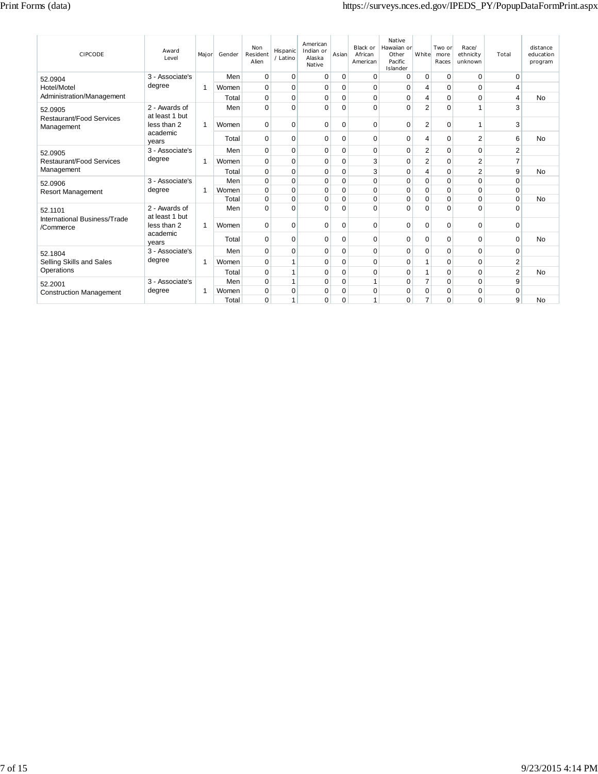| <b>CIPCODE</b>                            | Award<br>Level                  | Major        | Gender | Non<br>Resident<br>Alien | Hispanic<br>/ Latino | American<br>Indian or<br>Alaska<br>Native | Asian    | Black or<br>African<br>American | <b>Native</b><br>Hawaiian or<br>Other<br>Pacific<br>Islander | White          | Two or<br>more<br>Races | Race/<br>ethnicity<br>unknown | Total          | distance<br>education<br>program |
|-------------------------------------------|---------------------------------|--------------|--------|--------------------------|----------------------|-------------------------------------------|----------|---------------------------------|--------------------------------------------------------------|----------------|-------------------------|-------------------------------|----------------|----------------------------------|
| 52.0904                                   | 3 - Associate's                 |              | Men    | $\mathbf 0$              | $\mathbf 0$          | 0                                         | 0        | $\mathbf 0$                     | 0                                                            | $\mathbf 0$    | $\mathbf 0$             | 0                             | $\mathbf 0$    |                                  |
| Hotel/Motel                               | degree                          | 1            | Women  | $\mathbf 0$              | $\mathbf 0$          | 0                                         | 0        | $\mathbf 0$                     | 0                                                            | 4              | $\mathbf 0$             | $\mathbf 0$                   | 4              |                                  |
| Administration/Management                 |                                 |              | Total  | $\Omega$                 | $\mathbf 0$          | 0                                         | 0        | $\mathbf 0$                     | 0                                                            | 4              | $\Omega$                | 0                             | $\overline{4}$ | <b>No</b>                        |
| 52.0905<br>Restaurant/Food Services       | 2 - Awards of<br>at least 1 but |              | Men    | $\Omega$                 | $\Omega$             | $\Omega$                                  | 0        | $\mathbf 0$                     | $\Omega$                                                     | $\overline{2}$ | $\Omega$                |                               | 3              |                                  |
| Management                                | less than 2<br>academic         | $\mathbf{1}$ | Women  | $\Omega$                 | $\Omega$             | $\Omega$                                  | 0        | 0                               | 0                                                            | $\overline{2}$ | $\Omega$                | 1                             | 3              |                                  |
|                                           | years                           |              | Total  | $\Omega$                 | $\Omega$             | 0                                         | 0        | $\mathbf 0$                     | 0                                                            | 4              | $\Omega$                | $\overline{2}$                | 6              | <b>No</b>                        |
| 52.0905                                   | 3 - Associate's                 |              | Men    | $\Omega$                 | $\Omega$             | 0                                         | 0        | 0                               | $\Omega$                                                     | 2              | $\Omega$                | 0                             | $\overline{2}$ |                                  |
| Restaurant/Food Services                  | degree                          | 1            | Women  | $\Omega$                 | $\Omega$             | 0                                         | 0        | 3                               | $\Omega$                                                     | 2              | $\Omega$                | $\overline{2}$                | 7              |                                  |
| Management                                |                                 |              | Total  | 0                        | $\Omega$             | 0                                         | 0        | 3                               | 0                                                            | 4              | $\Omega$                | $\overline{2}$                | 9              | <b>No</b>                        |
| 52.0906                                   | 3 - Associate's                 |              | Men    | $\mathbf 0$              | $\mathbf 0$          | 0                                         | 0        | 0                               | 0                                                            | $\mathbf 0$    | $\Omega$                | $\mathbf 0$                   | $\mathbf 0$    |                                  |
| Resort Management                         | degree                          | 1            | Women  | $\mathbf 0$              | $\Omega$             | 0                                         | 0        | $\mathbf 0$                     | $\mathbf 0$                                                  | $\mathbf 0$    | $\Omega$                | $\mathbf 0$                   | $\mathbf 0$    |                                  |
|                                           |                                 |              | Total  | $\mathbf 0$              | 0                    | 0                                         | 0        | 0                               | 0                                                            | $\mathbf 0$    | $\Omega$                | 0                             | $\mathbf 0$    | <b>No</b>                        |
| 52.1101                                   | 2 - Awards of<br>at least 1 but |              | Men    | $\Omega$                 | $\Omega$             | $\Omega$                                  | $\Omega$ | $\mathbf 0$                     | $\Omega$                                                     | $\Omega$       | $\Omega$                | $\Omega$                      | $\Omega$       |                                  |
| International Business/Trade<br>/Commerce | less than 2                     | $\mathbf{1}$ | Women  | $\Omega$                 | $\Omega$             | 0                                         | 0        | 0                               | 0                                                            | $\Omega$       | $\Omega$                | $\Omega$                      | 0              |                                  |
|                                           | academic<br>years               |              | Total  | $\Omega$                 | $\Omega$             | 0                                         | 0        | 0                               | 0                                                            | $\mathbf 0$    | $\Omega$                | 0                             | $\mathbf 0$    | <b>No</b>                        |
| 52.1804                                   | 3 - Associate's                 |              | Men    | $\Omega$                 | $\mathbf 0$          | 0                                         | 0        | $\mathbf 0$                     | 0                                                            | 0              | $\mathbf 0$             | 0                             | $\mathbf 0$    |                                  |
| Selling Skills and Sales                  | degree                          | 1            | Women  | $\Omega$                 | 1                    | 0                                         | 0        | 0                               | 0                                                            | 1              | $\Omega$                | $\mathbf 0$                   | $\overline{2}$ |                                  |
| Operations                                |                                 |              | Total  | $\mathbf 0$              | 1                    | 0                                         | 0        | $\mathbf 0$                     | 0                                                            | 1              | $\Omega$                | $\mathbf 0$                   | $\overline{2}$ | <b>No</b>                        |
| 52.2001                                   | 3 - Associate's                 |              | Men    | $\Omega$                 | 1                    | 0                                         | 0        | 1                               | 0                                                            | $\overline{7}$ | $\mathbf 0$             | 0                             | 9              |                                  |
| <b>Construction Management</b>            | degree                          | 1            | Women  | $\Omega$                 | $\Omega$             | 0                                         | 0        | $\overline{0}$                  | 0                                                            | 0              | $\Omega$                | $\mathbf 0$                   | $\mathbf 0$    |                                  |
|                                           |                                 |              | Total  | $\Omega$                 | 1                    | $\Omega$                                  | $\Omega$ | 1                               | $\Omega$                                                     | $\overline{7}$ | $\Omega$                | $\Omega$                      | 9              | <b>No</b>                        |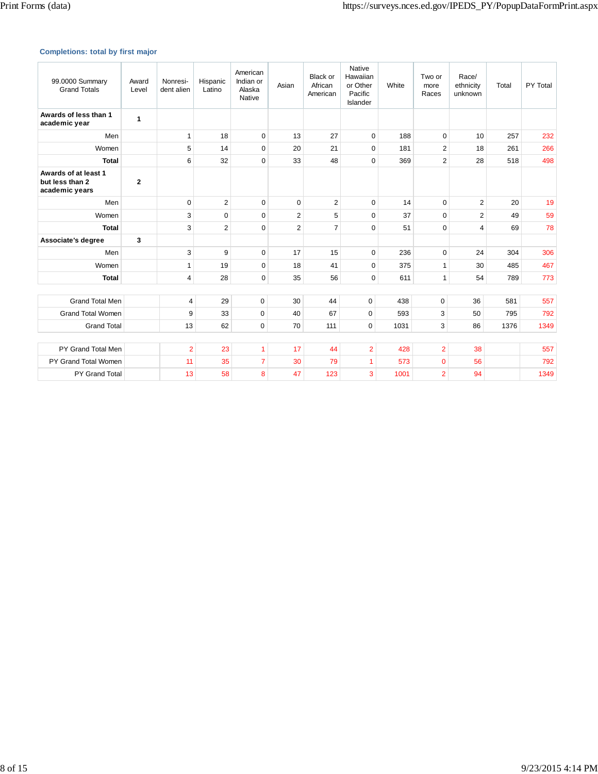## **Completions: total by first major**

| 99.0000 Summary<br><b>Grand Totals</b>                    | Award<br>Level | Nonresi-<br>dent alien | Hispanic<br>Latino | American<br>Indian or<br>Alaska<br>Native | Asian          | <b>Black or</b><br>African<br>American | Native<br>Hawaiian<br>or Other<br>Pacific<br>Islander | White | Two or<br>more<br>Races | Race/<br>ethnicity<br>unknown | Total | PY Total |
|-----------------------------------------------------------|----------------|------------------------|--------------------|-------------------------------------------|----------------|----------------------------------------|-------------------------------------------------------|-------|-------------------------|-------------------------------|-------|----------|
| Awards of less than 1<br>academic year                    | 1              |                        |                    |                                           |                |                                        |                                                       |       |                         |                               |       |          |
| Men                                                       |                | 1                      | 18                 | $\mathbf 0$                               | 13             | 27                                     | 0                                                     | 188   | $\mathbf 0$             | 10                            | 257   | 232      |
| Women                                                     |                | 5                      | 14                 | $\mathbf 0$                               | 20             | 21                                     | $\mathbf 0$                                           | 181   | $\overline{2}$          | 18                            | 261   | 266      |
| <b>Total</b>                                              |                | 6                      | 32                 | $\mathbf 0$                               | 33             | 48                                     | $\mathbf 0$                                           | 369   | $\overline{2}$          | 28                            | 518   | 498      |
| Awards of at least 1<br>but less than 2<br>academic years | $\mathbf{2}$   |                        |                    |                                           |                |                                        |                                                       |       |                         |                               |       |          |
| Men                                                       |                | $\Omega$               | $\overline{2}$     | $\Omega$                                  | $\Omega$       | $\overline{2}$                         | $\mathbf 0$                                           | 14    | $\Omega$                | $\overline{2}$                | 20    | 19       |
| Women                                                     |                | 3                      | $\mathbf 0$        | $\Omega$                                  | $\overline{2}$ | 5                                      | $\mathbf 0$                                           | 37    | $\Omega$                | $\overline{2}$                | 49    | 59       |
| <b>Total</b>                                              |                | 3                      | $\overline{2}$     | $\mathbf 0$                               | $\overline{2}$ | $\overline{7}$                         | $\mathbf 0$                                           | 51    | $\Omega$                | 4                             | 69    | 78       |
| Associate's degree                                        | 3              |                        |                    |                                           |                |                                        |                                                       |       |                         |                               |       |          |
| Men                                                       |                | 3                      | 9                  | $\mathbf 0$                               | 17             | 15                                     | $\mathbf 0$                                           | 236   | $\mathbf 0$             | 24                            | 304   | 306      |
| Women                                                     |                | 1                      | 19                 | 0                                         | 18             | 41                                     | 0                                                     | 375   | $\mathbf{1}$            | 30                            | 485   | 467      |
| <b>Total</b>                                              |                | $\overline{4}$         | 28                 | $\mathbf 0$                               | 35             | 56                                     | $\mathbf 0$                                           | 611   | $\mathbf{1}$            | 54                            | 789   | 773      |
|                                                           |                |                        |                    |                                           |                |                                        |                                                       |       |                         |                               |       |          |
| <b>Grand Total Men</b>                                    |                | 4                      | 29                 | $\pmb{0}$                                 | 30             | 44                                     | 0                                                     | 438   | 0                       | 36                            | 581   | 557      |
| <b>Grand Total Women</b>                                  |                | 9                      | 33                 | $\mathbf 0$                               | 40             | 67                                     | $\mathbf 0$                                           | 593   | 3                       | 50                            | 795   | 792      |
| <b>Grand Total</b>                                        |                | 13                     | 62                 | $\mathbf 0$                               | 70             | 111                                    | $\mathbf 0$                                           | 1031  | 3                       | 86                            | 1376  | 1349     |
|                                                           |                |                        |                    |                                           |                |                                        |                                                       |       |                         |                               |       |          |
| PY Grand Total Men                                        |                | $\overline{2}$         | 23                 | $\overline{1}$                            | 17             | 44                                     | $\overline{2}$                                        | 428   | $\overline{2}$          | 38                            |       | 557      |
| PY Grand Total Women                                      |                | 11                     | 35                 | $\overline{7}$                            | 30             | 79                                     | 1                                                     | 573   | $\mathbf 0$             | 56                            |       | 792      |
| <b>PY Grand Total</b>                                     |                | 13                     | 58                 | 8                                         | 47             | 123                                    | 3                                                     | 1001  | $\overline{2}$          | 94                            |       | 1349     |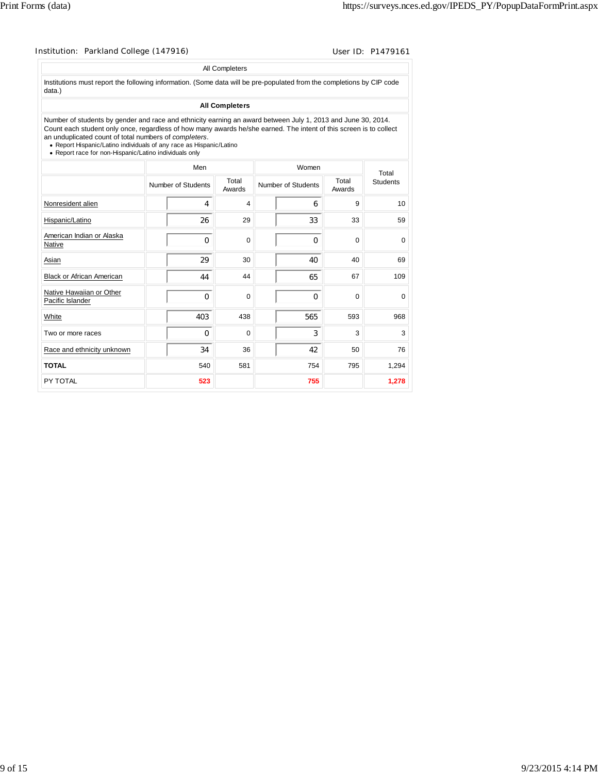| Institution: Parkland College (147916)                                                                                                                                                                                                                                                                                                                                                                                       |                    |                       |                    |                 | User ID: P1479161 |
|------------------------------------------------------------------------------------------------------------------------------------------------------------------------------------------------------------------------------------------------------------------------------------------------------------------------------------------------------------------------------------------------------------------------------|--------------------|-----------------------|--------------------|-----------------|-------------------|
|                                                                                                                                                                                                                                                                                                                                                                                                                              |                    | All Completers        |                    |                 |                   |
| Institutions must report the following information. (Some data will be pre-populated from the completions by CIP code<br>data.)                                                                                                                                                                                                                                                                                              |                    |                       |                    |                 |                   |
|                                                                                                                                                                                                                                                                                                                                                                                                                              |                    | <b>All Completers</b> |                    |                 |                   |
| Number of students by gender and race and ethnicity earning an award between July 1, 2013 and June 30, 2014.<br>Count each student only once, regardless of how many awards he/she earned. The intent of this screen is to collect<br>an unduplicated count of total numbers of completers.<br>• Report Hispanic/Latino individuals of any race as Hispanic/Latino<br>• Report race for non-Hispanic/Latino individuals only |                    |                       |                    |                 |                   |
|                                                                                                                                                                                                                                                                                                                                                                                                                              | Men                |                       | Women              |                 | Total             |
|                                                                                                                                                                                                                                                                                                                                                                                                                              | Number of Students | Total<br>Awards       | Number of Students | Total<br>Awards | <b>Students</b>   |
| Nonresident alien                                                                                                                                                                                                                                                                                                                                                                                                            | 4                  | 4                     | 6                  | 9               | 10                |
| Hispanic/Latino                                                                                                                                                                                                                                                                                                                                                                                                              | 26                 | 29                    | 33                 | 33              | 59                |
| American Indian or Alaska<br>Native                                                                                                                                                                                                                                                                                                                                                                                          | $\Omega$           | $\Omega$              | $\Omega$           | $\Omega$        | $\mathbf 0$       |
| Asian                                                                                                                                                                                                                                                                                                                                                                                                                        | 29                 | 30                    | 40                 | 40              | 69                |
| <b>Black or African American</b>                                                                                                                                                                                                                                                                                                                                                                                             | 44                 | 44                    | 65                 | 67              | 109               |
| Native Hawaiian or Other<br>Pacific Islander                                                                                                                                                                                                                                                                                                                                                                                 | $\Omega$           | $\Omega$              | $\Omega$           | $\Omega$        | 0                 |
| White                                                                                                                                                                                                                                                                                                                                                                                                                        | 403                | 438                   | 565                | 593             | 968               |
| Two or more races                                                                                                                                                                                                                                                                                                                                                                                                            | $\Omega$           | 0                     | 3                  | 3               | 3                 |
| Race and ethnicity unknown                                                                                                                                                                                                                                                                                                                                                                                                   | 34                 | 36                    | 42                 | 50              | 76                |
| <b>TOTAL</b>                                                                                                                                                                                                                                                                                                                                                                                                                 | 540                | 581                   | 754                | 795             | 1,294             |
| PY TOTAL                                                                                                                                                                                                                                                                                                                                                                                                                     | 523                |                       | 755                |                 | 1.278             |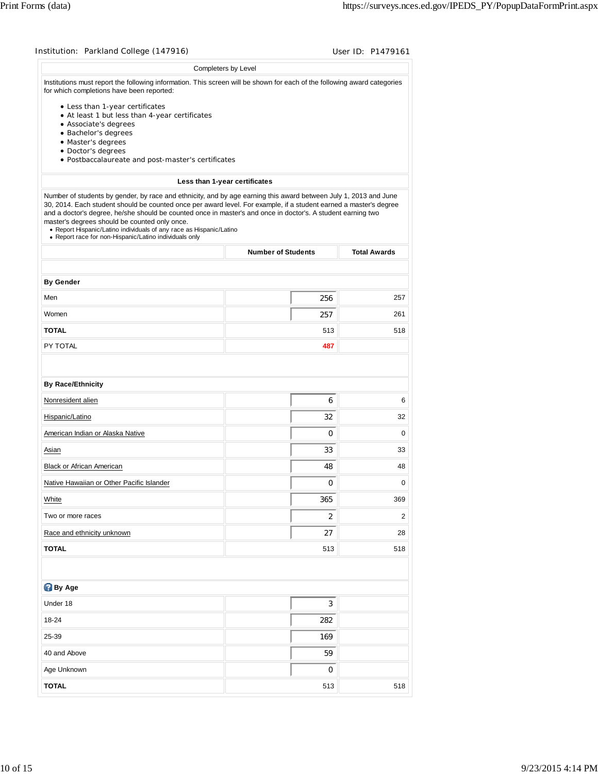| Institution: Parkland College (147916)                                                                                                                                                                                                                                                                                                                                                                                                                                                                                                  |                               | User ID: P1479161   |
|-----------------------------------------------------------------------------------------------------------------------------------------------------------------------------------------------------------------------------------------------------------------------------------------------------------------------------------------------------------------------------------------------------------------------------------------------------------------------------------------------------------------------------------------|-------------------------------|---------------------|
|                                                                                                                                                                                                                                                                                                                                                                                                                                                                                                                                         | Completers by Level           |                     |
| Institutions must report the following information. This screen will be shown for each of the following award categories<br>for which completions have been reported:                                                                                                                                                                                                                                                                                                                                                                   |                               |                     |
| • Less than 1-year certificates<br>• At least 1 but less than 4-year certificates<br>• Associate's degrees                                                                                                                                                                                                                                                                                                                                                                                                                              |                               |                     |
| · Bachelor's degrees<br>· Master's degrees                                                                                                                                                                                                                                                                                                                                                                                                                                                                                              |                               |                     |
| · Doctor's degrees                                                                                                                                                                                                                                                                                                                                                                                                                                                                                                                      |                               |                     |
| · Postbaccalaureate and post-master's certificates                                                                                                                                                                                                                                                                                                                                                                                                                                                                                      |                               |                     |
|                                                                                                                                                                                                                                                                                                                                                                                                                                                                                                                                         | Less than 1-year certificates |                     |
| Number of students by gender, by race and ethnicity, and by age earning this award between July 1, 2013 and June<br>30, 2014. Each student should be counted once per award level. For example, if a student earned a master's degree<br>and a doctor's degree, he/she should be counted once in master's and once in doctor's. A student earning two<br>master's degrees should be counted only once.<br>• Report Hispanic/Latino individuals of any race as Hispanic/Latino<br>• Report race for non-Hispanic/Latino individuals only |                               |                     |
|                                                                                                                                                                                                                                                                                                                                                                                                                                                                                                                                         | <b>Number of Students</b>     | <b>Total Awards</b> |
|                                                                                                                                                                                                                                                                                                                                                                                                                                                                                                                                         |                               |                     |
| <b>By Gender</b><br>Men                                                                                                                                                                                                                                                                                                                                                                                                                                                                                                                 | 256                           | 257                 |
| Women                                                                                                                                                                                                                                                                                                                                                                                                                                                                                                                                   | 257                           | 261                 |
| <b>TOTAL</b>                                                                                                                                                                                                                                                                                                                                                                                                                                                                                                                            | 513                           | 518                 |
| PY TOTAL                                                                                                                                                                                                                                                                                                                                                                                                                                                                                                                                | 487                           |                     |
|                                                                                                                                                                                                                                                                                                                                                                                                                                                                                                                                         |                               |                     |
| <b>By Race/Ethnicity</b>                                                                                                                                                                                                                                                                                                                                                                                                                                                                                                                |                               |                     |
| Nonresident alien                                                                                                                                                                                                                                                                                                                                                                                                                                                                                                                       | 6                             | 6                   |
| Hispanic/Latino                                                                                                                                                                                                                                                                                                                                                                                                                                                                                                                         | 32                            | 32                  |
| American Indian or Alaska Native                                                                                                                                                                                                                                                                                                                                                                                                                                                                                                        | 0                             | 0                   |
| Asian                                                                                                                                                                                                                                                                                                                                                                                                                                                                                                                                   | 33                            | 33                  |
| Black or African American                                                                                                                                                                                                                                                                                                                                                                                                                                                                                                               | 48                            | 48                  |
| Native Hawaiian or Other Pacific Islander                                                                                                                                                                                                                                                                                                                                                                                                                                                                                               | $\pmb{0}$                     | 0                   |
| White                                                                                                                                                                                                                                                                                                                                                                                                                                                                                                                                   | 365                           | 369                 |
| Two or more races                                                                                                                                                                                                                                                                                                                                                                                                                                                                                                                       | 2                             | $\overline{c}$      |
| Race and ethnicity unknown                                                                                                                                                                                                                                                                                                                                                                                                                                                                                                              | 27                            | 28                  |
| <b>TOTAL</b>                                                                                                                                                                                                                                                                                                                                                                                                                                                                                                                            | 513                           | 518                 |
|                                                                                                                                                                                                                                                                                                                                                                                                                                                                                                                                         |                               |                     |
| <b>By Age</b>                                                                                                                                                                                                                                                                                                                                                                                                                                                                                                                           |                               |                     |
| Under 18                                                                                                                                                                                                                                                                                                                                                                                                                                                                                                                                | 3                             |                     |
| 18-24                                                                                                                                                                                                                                                                                                                                                                                                                                                                                                                                   | 282                           |                     |
|                                                                                                                                                                                                                                                                                                                                                                                                                                                                                                                                         | 169                           |                     |
| 25-39                                                                                                                                                                                                                                                                                                                                                                                                                                                                                                                                   |                               |                     |
| 40 and Above                                                                                                                                                                                                                                                                                                                                                                                                                                                                                                                            | 59                            |                     |
| Age Unknown                                                                                                                                                                                                                                                                                                                                                                                                                                                                                                                             | 0                             |                     |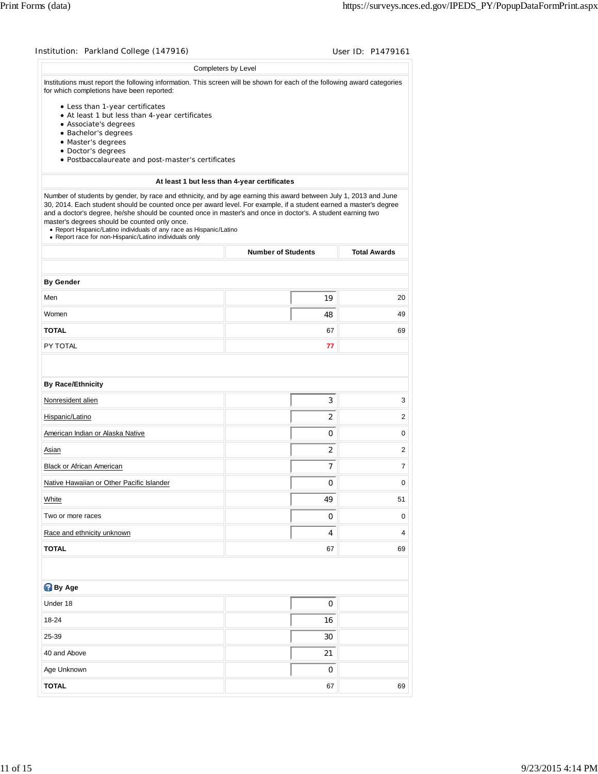| Institution: Parkland College (147916)                                                                                                                                                                                                                                                                                                                                                                                                                                                                                                  |                                              | User ID: P1479161   |
|-----------------------------------------------------------------------------------------------------------------------------------------------------------------------------------------------------------------------------------------------------------------------------------------------------------------------------------------------------------------------------------------------------------------------------------------------------------------------------------------------------------------------------------------|----------------------------------------------|---------------------|
|                                                                                                                                                                                                                                                                                                                                                                                                                                                                                                                                         | Completers by Level                          |                     |
| Institutions must report the following information. This screen will be shown for each of the following award categories<br>for which completions have been reported:                                                                                                                                                                                                                                                                                                                                                                   |                                              |                     |
| • Less than 1-year certificates<br>• At least 1 but less than 4-year certificates<br>• Associate's degrees<br>· Bachelor's degrees                                                                                                                                                                                                                                                                                                                                                                                                      |                                              |                     |
| · Master's degrees<br>· Doctor's degrees                                                                                                                                                                                                                                                                                                                                                                                                                                                                                                |                                              |                     |
| · Postbaccalaureate and post-master's certificates                                                                                                                                                                                                                                                                                                                                                                                                                                                                                      |                                              |                     |
|                                                                                                                                                                                                                                                                                                                                                                                                                                                                                                                                         | At least 1 but less than 4-year certificates |                     |
| Number of students by gender, by race and ethnicity, and by age earning this award between July 1, 2013 and June<br>30, 2014. Each student should be counted once per award level. For example, if a student earned a master's degree<br>and a doctor's degree, he/she should be counted once in master's and once in doctor's. A student earning two<br>master's degrees should be counted only once.<br>• Report Hispanic/Latino individuals of any race as Hispanic/Latino<br>• Report race for non-Hispanic/Latino individuals only |                                              |                     |
|                                                                                                                                                                                                                                                                                                                                                                                                                                                                                                                                         | <b>Number of Students</b>                    | <b>Total Awards</b> |
| <b>By Gender</b>                                                                                                                                                                                                                                                                                                                                                                                                                                                                                                                        |                                              |                     |
| Men                                                                                                                                                                                                                                                                                                                                                                                                                                                                                                                                     | 19                                           | 20                  |
| Women                                                                                                                                                                                                                                                                                                                                                                                                                                                                                                                                   | 48                                           | 49                  |
| <b>TOTAL</b>                                                                                                                                                                                                                                                                                                                                                                                                                                                                                                                            | 67                                           | 69                  |
| PY TOTAL                                                                                                                                                                                                                                                                                                                                                                                                                                                                                                                                | 77                                           |                     |
|                                                                                                                                                                                                                                                                                                                                                                                                                                                                                                                                         |                                              |                     |
| <b>By Race/Ethnicity</b>                                                                                                                                                                                                                                                                                                                                                                                                                                                                                                                |                                              |                     |
| Nonresident alien                                                                                                                                                                                                                                                                                                                                                                                                                                                                                                                       | 3                                            | 3                   |
| Hispanic/Latino                                                                                                                                                                                                                                                                                                                                                                                                                                                                                                                         | 2                                            | 2                   |
| American Indian or Alaska Native                                                                                                                                                                                                                                                                                                                                                                                                                                                                                                        | 0                                            | 0                   |
| Asian                                                                                                                                                                                                                                                                                                                                                                                                                                                                                                                                   | 2                                            | 2                   |
| Black or African American                                                                                                                                                                                                                                                                                                                                                                                                                                                                                                               | 7                                            | 7                   |
| Native Hawaiian or Other Pacific Islander                                                                                                                                                                                                                                                                                                                                                                                                                                                                                               | 0                                            | 0                   |
| White                                                                                                                                                                                                                                                                                                                                                                                                                                                                                                                                   | 49                                           | 51                  |
| Two or more races                                                                                                                                                                                                                                                                                                                                                                                                                                                                                                                       | 0                                            | 0                   |
| Race and ethnicity unknown                                                                                                                                                                                                                                                                                                                                                                                                                                                                                                              | 4                                            | 4                   |
| <b>TOTAL</b>                                                                                                                                                                                                                                                                                                                                                                                                                                                                                                                            | 67                                           | 69                  |
|                                                                                                                                                                                                                                                                                                                                                                                                                                                                                                                                         |                                              |                     |
| <b>By Age</b>                                                                                                                                                                                                                                                                                                                                                                                                                                                                                                                           |                                              |                     |
| Under 18                                                                                                                                                                                                                                                                                                                                                                                                                                                                                                                                | 0                                            |                     |
| 18-24                                                                                                                                                                                                                                                                                                                                                                                                                                                                                                                                   | 16                                           |                     |
| 25-39                                                                                                                                                                                                                                                                                                                                                                                                                                                                                                                                   | 30                                           |                     |
| 40 and Above                                                                                                                                                                                                                                                                                                                                                                                                                                                                                                                            | 21                                           |                     |
| Age Unknown                                                                                                                                                                                                                                                                                                                                                                                                                                                                                                                             | 0                                            |                     |
| <b>TOTAL</b>                                                                                                                                                                                                                                                                                                                                                                                                                                                                                                                            | 67                                           | 69                  |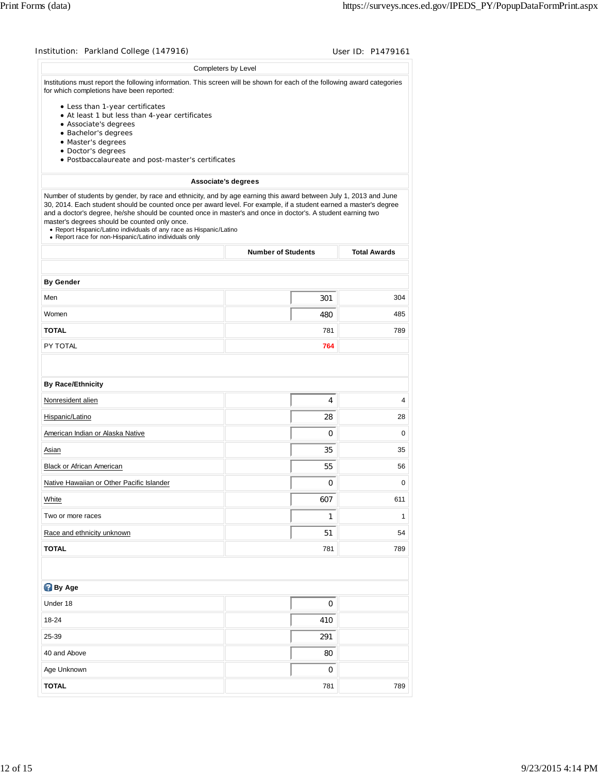| Institution: Parkland College (147916)                                                                                                                                                                                                                                                                                                                                                                                                                                                                                                  |                           | User ID: P1479161   |
|-----------------------------------------------------------------------------------------------------------------------------------------------------------------------------------------------------------------------------------------------------------------------------------------------------------------------------------------------------------------------------------------------------------------------------------------------------------------------------------------------------------------------------------------|---------------------------|---------------------|
|                                                                                                                                                                                                                                                                                                                                                                                                                                                                                                                                         | Completers by Level       |                     |
| Institutions must report the following information. This screen will be shown for each of the following award categories<br>for which completions have been reported:                                                                                                                                                                                                                                                                                                                                                                   |                           |                     |
| • Less than 1-year certificates<br>• At least 1 but less than 4-year certificates<br>• Associate's degrees<br>· Bachelor's degrees                                                                                                                                                                                                                                                                                                                                                                                                      |                           |                     |
| · Master's degrees                                                                                                                                                                                                                                                                                                                                                                                                                                                                                                                      |                           |                     |
| · Doctor's degrees                                                                                                                                                                                                                                                                                                                                                                                                                                                                                                                      |                           |                     |
| · Postbaccalaureate and post-master's certificates                                                                                                                                                                                                                                                                                                                                                                                                                                                                                      |                           |                     |
|                                                                                                                                                                                                                                                                                                                                                                                                                                                                                                                                         | Associate's degrees       |                     |
| Number of students by gender, by race and ethnicity, and by age earning this award between July 1, 2013 and June<br>30, 2014. Each student should be counted once per award level. For example, if a student earned a master's degree<br>and a doctor's degree, he/she should be counted once in master's and once in doctor's. A student earning two<br>master's degrees should be counted only once.<br>• Report Hispanic/Latino individuals of any race as Hispanic/Latino<br>• Report race for non-Hispanic/Latino individuals only |                           |                     |
|                                                                                                                                                                                                                                                                                                                                                                                                                                                                                                                                         | <b>Number of Students</b> | <b>Total Awards</b> |
|                                                                                                                                                                                                                                                                                                                                                                                                                                                                                                                                         |                           |                     |
| <b>By Gender</b>                                                                                                                                                                                                                                                                                                                                                                                                                                                                                                                        |                           |                     |
| Men                                                                                                                                                                                                                                                                                                                                                                                                                                                                                                                                     | 301                       | 304                 |
| Women                                                                                                                                                                                                                                                                                                                                                                                                                                                                                                                                   | 480                       | 485                 |
| <b>TOTAL</b>                                                                                                                                                                                                                                                                                                                                                                                                                                                                                                                            | 781                       | 789                 |
| PY TOTAL                                                                                                                                                                                                                                                                                                                                                                                                                                                                                                                                | 764                       |                     |
|                                                                                                                                                                                                                                                                                                                                                                                                                                                                                                                                         |                           |                     |
| <b>By Race/Ethnicity</b>                                                                                                                                                                                                                                                                                                                                                                                                                                                                                                                |                           |                     |
| Nonresident alien                                                                                                                                                                                                                                                                                                                                                                                                                                                                                                                       | 4                         | 4                   |
| Hispanic/Latino                                                                                                                                                                                                                                                                                                                                                                                                                                                                                                                         | 28                        | 28                  |
| American Indian or Alaska Native                                                                                                                                                                                                                                                                                                                                                                                                                                                                                                        | 0                         | 0                   |
| Asian                                                                                                                                                                                                                                                                                                                                                                                                                                                                                                                                   | 35                        | 35                  |
| Black or African American                                                                                                                                                                                                                                                                                                                                                                                                                                                                                                               | 55                        | 56                  |
| Native Hawaiian or Other Pacific Islander                                                                                                                                                                                                                                                                                                                                                                                                                                                                                               | 0                         | $\mathbf 0$         |
| White                                                                                                                                                                                                                                                                                                                                                                                                                                                                                                                                   | 607                       | 611                 |
| Two or more races                                                                                                                                                                                                                                                                                                                                                                                                                                                                                                                       | 1                         | 1                   |
| Race and ethnicity unknown                                                                                                                                                                                                                                                                                                                                                                                                                                                                                                              | 51                        | 54                  |
| <b>TOTAL</b>                                                                                                                                                                                                                                                                                                                                                                                                                                                                                                                            | 781                       | 789                 |
|                                                                                                                                                                                                                                                                                                                                                                                                                                                                                                                                         |                           |                     |
| <b>By Age</b>                                                                                                                                                                                                                                                                                                                                                                                                                                                                                                                           |                           |                     |
| Under 18                                                                                                                                                                                                                                                                                                                                                                                                                                                                                                                                | 0                         |                     |
| 18-24                                                                                                                                                                                                                                                                                                                                                                                                                                                                                                                                   | 410                       |                     |
| 25-39                                                                                                                                                                                                                                                                                                                                                                                                                                                                                                                                   | 291                       |                     |
| 40 and Above                                                                                                                                                                                                                                                                                                                                                                                                                                                                                                                            | 80                        |                     |
| Age Unknown                                                                                                                                                                                                                                                                                                                                                                                                                                                                                                                             | 0                         |                     |
|                                                                                                                                                                                                                                                                                                                                                                                                                                                                                                                                         |                           |                     |
| <b>TOTAL</b>                                                                                                                                                                                                                                                                                                                                                                                                                                                                                                                            | 781                       | 789                 |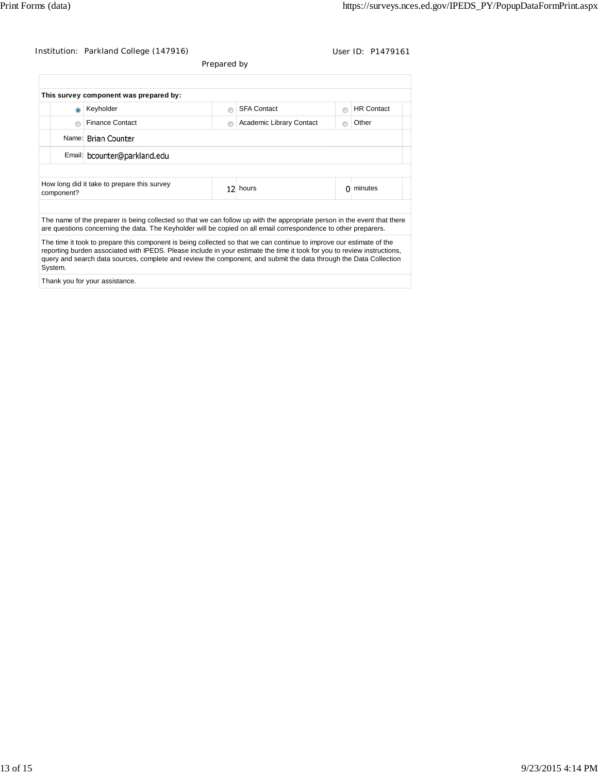Institution: Parkland College (147916) Contact Contact Contact Contact User ID: P1479161

Prepared by

| This survey component was prepared by:                                                                               |   |                                                                                                                                                                                                                                             |   |                          |   |                   |  |
|----------------------------------------------------------------------------------------------------------------------|---|---------------------------------------------------------------------------------------------------------------------------------------------------------------------------------------------------------------------------------------------|---|--------------------------|---|-------------------|--|
|                                                                                                                      |   | Keyholder                                                                                                                                                                                                                                   | e | <b>SFA Contact</b>       |   | <b>HR Contact</b> |  |
|                                                                                                                      | P | <b>Finance Contact</b>                                                                                                                                                                                                                      | e | Academic Library Contact |   | Other             |  |
|                                                                                                                      |   | Name: Brian Counter                                                                                                                                                                                                                         |   |                          |   |                   |  |
|                                                                                                                      |   | Email: bcounter@parkland.edu                                                                                                                                                                                                                |   |                          |   |                   |  |
|                                                                                                                      |   |                                                                                                                                                                                                                                             |   |                          |   |                   |  |
| How long did it take to prepare this survey<br>component?                                                            |   |                                                                                                                                                                                                                                             |   | 12 hours                 | 0 | minutes           |  |
|                                                                                                                      |   |                                                                                                                                                                                                                                             |   |                          |   |                   |  |
|                                                                                                                      |   | The name of the preparer is being collected so that we can follow up with the appropriate person in the event that there<br>are questions concerning the data. The Keyholder will be copied on all email correspondence to other preparers. |   |                          |   |                   |  |
| The time it took to prepare this component is being collected so that we can continue to improve our estimate of the |   |                                                                                                                                                                                                                                             |   |                          |   |                   |  |

reporting burden associated with IPEDS. Please include in your estimate the time it took for you to review instructions, query and search data sources, complete and review the component, and submit the data through the Data Collection System.

Thank you for your assistance.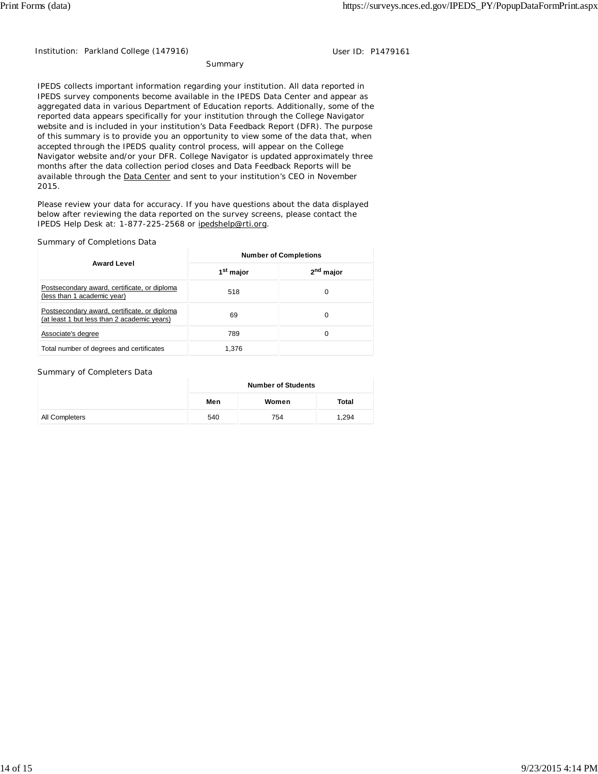Institution: Parkland College (147916) Contract the User ID: P1479161

#### Summary

IPEDS collects important information regarding your institution. All data reported in IPEDS survey components become available in the IPEDS Data Center and appear as aggregated data in various Department of Education reports. Additionally, some of the reported data appears specifically for your institution through the College Navigator website and is included in your institution's Data Feedback Report (DFR). The purpose of this summary is to provide you an opportunity to view some of the data that, when accepted through the IPEDS quality control process, will appear on the College Navigator website and/or your DFR. College Navigator is updated approximately three months after the data collection period closes and Data Feedback Reports will be available through the Data Center and sent to your institution's CEO in November 2015.

Please review your data for accuracy. If you have questions about the data displayed below after reviewing the data reported on the survey screens, please contact the IPEDS Help Desk at: 1-877-225-2568 or ipedshelp@rti.org.

#### Summary of Completions Data

|                                                                                             | <b>Number of Completions</b> |                       |  |  |
|---------------------------------------------------------------------------------------------|------------------------------|-----------------------|--|--|
| <b>Award Level</b>                                                                          | 1 <sup>st</sup> major        | 2 <sup>nd</sup> major |  |  |
| Postsecondary award, certificate, or diploma<br>(less than 1 academic year)                 | 518                          | 0                     |  |  |
| Postsecondary award, certificate, or diploma<br>(at least 1 but less than 2 academic years) | 69                           | 0                     |  |  |
| Associate's degree                                                                          | 789                          | 0                     |  |  |
| Total number of degrees and certificates                                                    | 1.376                        |                       |  |  |

#### Summary of Completers Data

|                | <b>Number of Students</b> |       |       |  |
|----------------|---------------------------|-------|-------|--|
|                | Men                       | Women | Total |  |
| All Completers | 540                       | 754   | 1.294 |  |